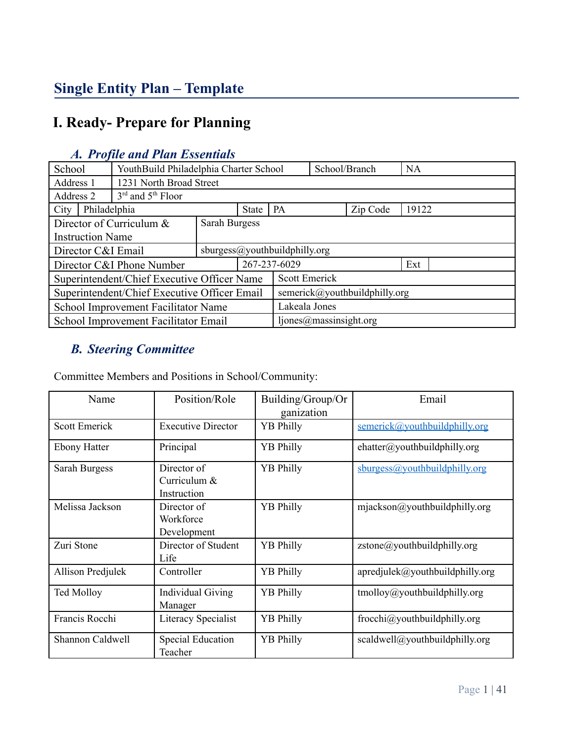# **Single Entity Plan – Template**

# **I. Ready- Prepare for Planning**

| School                                              | YouthBuild Philadelphia Charter School       |                         |                               |                   | School/Branch |  | <b>NA</b> |  |
|-----------------------------------------------------|----------------------------------------------|-------------------------|-------------------------------|-------------------|---------------|--|-----------|--|
| Address 1                                           |                                              | 1231 North Broad Street |                               |                   |               |  |           |  |
| Address 2                                           | $3rd$ and $5th$ Floor                        |                         |                               |                   |               |  |           |  |
| Philadelphia<br>City                                |                                              | State                   | <b>PA</b>                     | 19122<br>Zip Code |               |  |           |  |
|                                                     | Director of Curriculum $\&$<br>Sarah Burgess |                         |                               |                   |               |  |           |  |
| <b>Instruction Name</b>                             |                                              |                         |                               |                   |               |  |           |  |
| sburgess@youthbuildphilly.org<br>Director C&I Email |                                              |                         |                               |                   |               |  |           |  |
| Director C&I Phone Number                           |                                              | 267-237-6029            |                               | Ext               |               |  |           |  |
| Superintendent/Chief Executive Officer Name         |                                              |                         |                               | Scott Emerick     |               |  |           |  |
| Superintendent/Chief Executive Officer Email        |                                              |                         | semerick@youthbuildphilly.org |                   |               |  |           |  |
| School Improvement Facilitator Name                 |                                              |                         | Lakeala Jones                 |                   |               |  |           |  |
| School Improvement Facilitator Email                |                                              |                         | ljones@massinsight.org        |                   |               |  |           |  |

## *A. Profile and Plan Essentials*

# *B. Steering Committee*

Committee Members and Positions in School/Community:

| Name                 | Position/Role                                | Building/Group/Or<br>ganization | Email                                |
|----------------------|----------------------------------------------|---------------------------------|--------------------------------------|
| <b>Scott Emerick</b> | <b>Executive Director</b>                    | <b>YB Philly</b>                | semerick@youthbuildphilly.org        |
| <b>Ebony Hatter</b>  | Principal                                    | <b>YB</b> Philly                | ehatter@youthbuildphilly.org         |
| Sarah Burgess        | Director of<br>Curriculum $&$<br>Instruction | <b>YB</b> Philly                | sburgess@youthbuildphilly.org        |
| Melissa Jackson      | Director of<br>Workforce<br>Development      | <b>YB</b> Philly                | $mjackson@$ youthbuildphilly.org     |
| Zuri Stone           | Director of Student<br>Life                  | <b>YB</b> Philly                | $zstone(\omega$ youthbuildphilly.org |
| Allison Predjulek    | Controller                                   | <b>YB</b> Philly                | apredjulek@youthbuildphily.org       |
| <b>Ted Molloy</b>    | <b>Individual Giving</b><br>Manager          | <b>YB</b> Philly                | $t$ molloy@youthbuildphilly.org      |
| Francis Rocchi       | Literacy Specialist                          | <b>YB</b> Philly                | frocchi@youthbuildphilly.org         |
| Shannon Caldwell     | Special Education<br>Teacher                 | <b>YB</b> Philly                | scaldwell@youthbuildphilly.org       |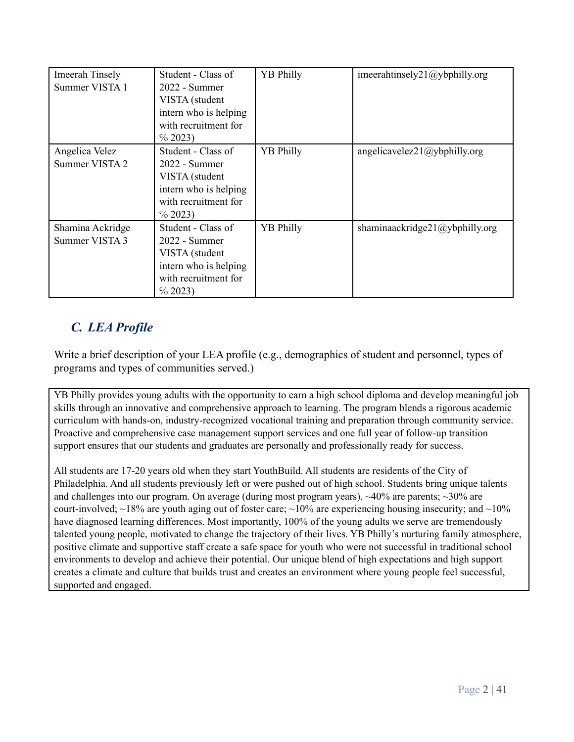| <b>Imeerah Tinsely</b><br>Summer VISTA 1 | Student - Class of<br>2022 - Summer<br>VISTA (student<br>intern who is helping<br>with recruitment for<br>$\%$ 2023)   | <b>YB Philly</b> | imeerahtinsely21@ybphilly.org  |
|------------------------------------------|------------------------------------------------------------------------------------------------------------------------|------------------|--------------------------------|
| Angelica Velez<br>Summer VISTA 2         | Student - Class of<br>$2022 - Summer$<br>VISTA (student<br>intern who is helping<br>with recruitment for<br>$\%$ 2023) | <b>YB Philly</b> | angelicavelez21@ybphilly.org   |
| Shamina Ackridge<br>Summer VISTA 3       | Student - Class of<br>2022 - Summer<br>VISTA (student<br>intern who is helping<br>with recruitment for<br>$\%$ 2023)   | <b>YB Philly</b> | shaminaackridge21@ybphilly.org |

# *C. LEA Profile*

Write a brief description of your LEA profile (e.g., demographics of student and personnel, types of programs and types of communities served.)

YB Philly provides young adults with the opportunity to earn a high school diploma and develop meaningful job skills through an innovative and comprehensive approach to learning. The program blends a rigorous academic curriculum with hands-on, industry-recognized vocational training and preparation through community service. Proactive and comprehensive case management support services and one full year of follow-up transition support ensures that our students and graduates are personally and professionally ready for success.

All students are 17-20 years old when they start YouthBuild. All students are residents of the City of Philadelphia. And all students previously left or were pushed out of high school. Students bring unique talents and challenges into our program. On average (during most program years),  $\sim$ 40% are parents;  $\sim$ 30% are court-involved;  $\sim$ 18% are youth aging out of foster care;  $\sim$ 10% are experiencing housing insecurity; and  $\sim$ 10% have diagnosed learning differences. Most importantly, 100% of the young adults we serve are tremendously talented young people, motivated to change the trajectory of their lives. YB Philly's nurturing family atmosphere, positive climate and supportive staff create a safe space for youth who were not successful in traditional school environments to develop and achieve their potential. Our unique blend of high expectations and high support creates a climate and culture that builds trust and creates an environment where young people feel successful, supported and engaged.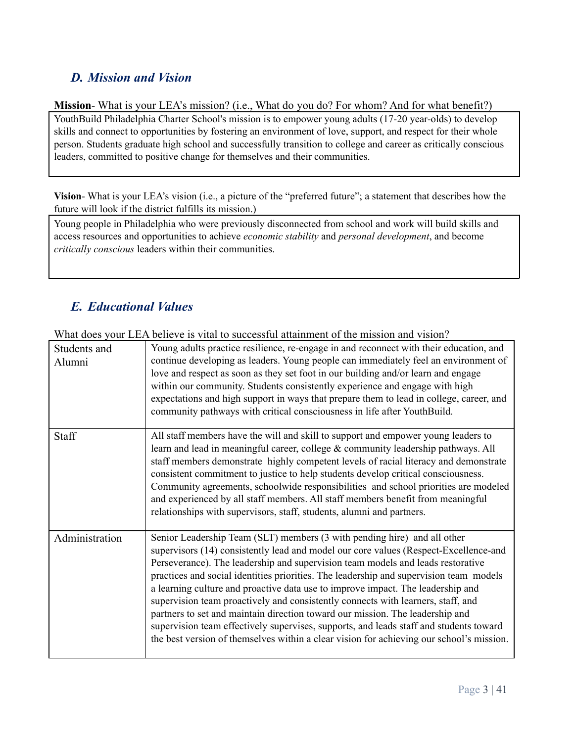# *D. Mission and Vision*

**Mission**- What is your LEA's mission? (i.e., What do you do? For whom? And for what benefit?) YouthBuild Philadelphia Charter School's mission is to empower young adults (17-20 year-olds) to develop skills and connect to opportunities by fostering an environment of love, support, and respect for their whole person. Students graduate high school and successfully transition to college and career as critically conscious leaders, committed to positive change for themselves and their communities.

**Vision**- What is your LEA's vision (i.e., a picture of the "preferred future"; a statement that describes how the future will look if the district fulfills its mission.)

Young people in Philadelphia who were previously disconnected from school and work will build skills and access resources and opportunities to achieve *economic stability* and *personal development*, and become *critically conscious* leaders within their communities.

# *E. Educational Values*

What does your LEA believe is vital to successful attainment of the mission and vision?

| Students and<br>Alumni | Young adults practice resilience, re-engage in and reconnect with their education, and<br>continue developing as leaders. Young people can immediately feel an environment of<br>love and respect as soon as they set foot in our building and/or learn and engage<br>within our community. Students consistently experience and engage with high<br>expectations and high support in ways that prepare them to lead in college, career, and<br>community pathways with critical consciousness in life after YouthBuild.                                                                                                                                                                                                                                                                    |
|------------------------|---------------------------------------------------------------------------------------------------------------------------------------------------------------------------------------------------------------------------------------------------------------------------------------------------------------------------------------------------------------------------------------------------------------------------------------------------------------------------------------------------------------------------------------------------------------------------------------------------------------------------------------------------------------------------------------------------------------------------------------------------------------------------------------------|
| Staff                  | All staff members have the will and skill to support and empower young leaders to<br>learn and lead in meaningful career, college & community leadership pathways. All<br>staff members demonstrate highly competent levels of racial literacy and demonstrate<br>consistent commitment to justice to help students develop critical consciousness.<br>Community agreements, schoolwide responsibilities and school priorities are modeled<br>and experienced by all staff members. All staff members benefit from meaningful<br>relationships with supervisors, staff, students, alumni and partners.                                                                                                                                                                                      |
| Administration         | Senior Leadership Team (SLT) members (3 with pending hire) and all other<br>supervisors (14) consistently lead and model our core values (Respect-Excellence-and<br>Perseverance). The leadership and supervision team models and leads restorative<br>practices and social identities priorities. The leadership and supervision team models<br>a learning culture and proactive data use to improve impact. The leadership and<br>supervision team proactively and consistently connects with learners, staff, and<br>partners to set and maintain direction toward our mission. The leadership and<br>supervision team effectively supervises, supports, and leads staff and students toward<br>the best version of themselves within a clear vision for achieving our school's mission. |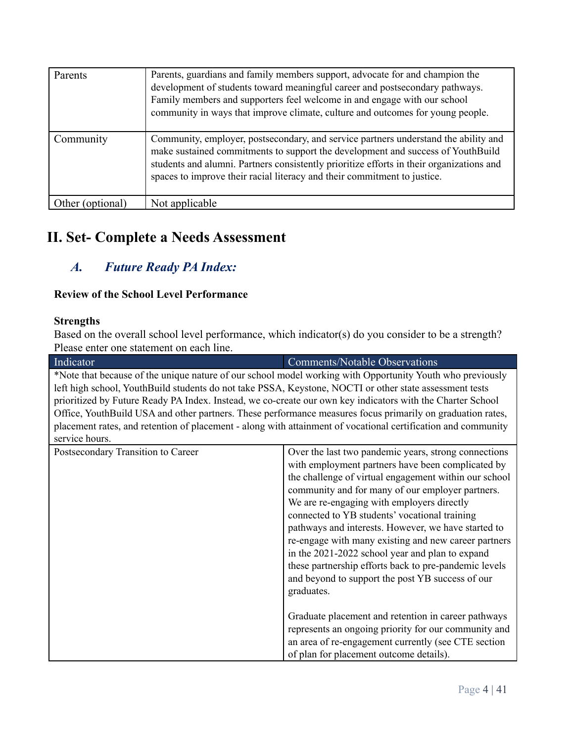| Parents          | Parents, guardians and family members support, advocate for and champion the<br>development of students toward meaningful career and postsecondary pathways.<br>Family members and supporters feel welcome in and engage with our school<br>community in ways that improve climate, culture and outcomes for young people.                     |
|------------------|------------------------------------------------------------------------------------------------------------------------------------------------------------------------------------------------------------------------------------------------------------------------------------------------------------------------------------------------|
| Community        | Community, employer, postsecondary, and service partners understand the ability and<br>make sustained commitments to support the development and success of YouthBuild<br>students and alumni. Partners consistently prioritize efforts in their organizations and<br>spaces to improve their racial literacy and their commitment to justice. |
| Other (optional) | Not applicable                                                                                                                                                                                                                                                                                                                                 |

# **II. Set- Complete a Needs Assessment**

# *A. Future Ready PA Index:*

## **Review of the School Level Performance**

#### **Strengths**

Based on the overall school level performance, which indicator(s) do you consider to be a strength? Please enter one statement on each line.

| Indicator                                                                                                     | <b>Comments/Notable Observations</b>                  |  |
|---------------------------------------------------------------------------------------------------------------|-------------------------------------------------------|--|
| *Note that because of the unique nature of our school model working with Opportunity Youth who previously     |                                                       |  |
| left high school, YouthBuild students do not take PSSA, Keystone, NOCTI or other state assessment tests       |                                                       |  |
| prioritized by Future Ready PA Index. Instead, we co-create our own key indicators with the Charter School    |                                                       |  |
| Office, YouthBuild USA and other partners. These performance measures focus primarily on graduation rates,    |                                                       |  |
| placement rates, and retention of placement - along with attainment of vocational certification and community |                                                       |  |
| service hours.                                                                                                |                                                       |  |
| Postsecondary Transition to Career                                                                            | Over the last two pandemic years, strong connections  |  |
|                                                                                                               | with employment partners have been complicated by     |  |
|                                                                                                               | the challenge of virtual engagement within our school |  |
|                                                                                                               | community and for many of our employer partners.      |  |
|                                                                                                               | We are re-engaging with employers directly            |  |
|                                                                                                               | connected to YB students' vocational training         |  |
| pathways and interests. However, we have started to                                                           |                                                       |  |
|                                                                                                               | re-engage with many existing and new career partners  |  |
|                                                                                                               | in the 2021-2022 school year and plan to expand       |  |
| these partnership efforts back to pre-pandemic levels                                                         |                                                       |  |
|                                                                                                               | and beyond to support the post YB success of our      |  |
|                                                                                                               | graduates.                                            |  |
|                                                                                                               |                                                       |  |
|                                                                                                               | Graduate placement and retention in career pathways   |  |
| represents an ongoing priority for our community and                                                          |                                                       |  |
|                                                                                                               | an area of re-engagement currently (see CTE section   |  |
|                                                                                                               | of plan for placement outcome details).               |  |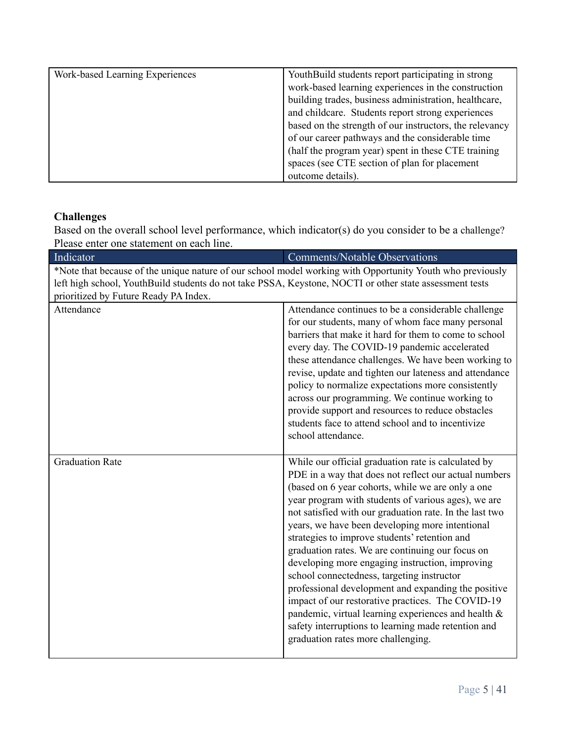| Work-based Learning Experiences | YouthBuild students report participating in strong      |
|---------------------------------|---------------------------------------------------------|
|                                 | work-based learning experiences in the construction     |
|                                 | building trades, business administration, healthcare,   |
|                                 | and childcare. Students report strong experiences       |
|                                 | based on the strength of our instructors, the relevancy |
|                                 | of our career pathways and the considerable time        |
|                                 | (half the program year) spent in these CTE training     |
|                                 | spaces (see CTE section of plan for placement           |
|                                 | outcome details).                                       |

## **Challenges**

Based on the overall school level performance, which indicator(s) do you consider to be a challenge? Please enter one statement on each line.

| s enter one statement on each nne.                                                                        |                                                                                                                                                                                                                                                                                                                                                                                                                                                                                                                                                                                                                                                                                                                                                                                                              |
|-----------------------------------------------------------------------------------------------------------|--------------------------------------------------------------------------------------------------------------------------------------------------------------------------------------------------------------------------------------------------------------------------------------------------------------------------------------------------------------------------------------------------------------------------------------------------------------------------------------------------------------------------------------------------------------------------------------------------------------------------------------------------------------------------------------------------------------------------------------------------------------------------------------------------------------|
| Indicator                                                                                                 | <b>Comments/Notable Observations</b>                                                                                                                                                                                                                                                                                                                                                                                                                                                                                                                                                                                                                                                                                                                                                                         |
| *Note that because of the unique nature of our school model working with Opportunity Youth who previously |                                                                                                                                                                                                                                                                                                                                                                                                                                                                                                                                                                                                                                                                                                                                                                                                              |
| left high school, YouthBuild students do not take PSSA, Keystone, NOCTI or other state assessment tests   |                                                                                                                                                                                                                                                                                                                                                                                                                                                                                                                                                                                                                                                                                                                                                                                                              |
| prioritized by Future Ready PA Index.                                                                     |                                                                                                                                                                                                                                                                                                                                                                                                                                                                                                                                                                                                                                                                                                                                                                                                              |
| Attendance                                                                                                | Attendance continues to be a considerable challenge<br>for our students, many of whom face many personal<br>barriers that make it hard for them to come to school<br>every day. The COVID-19 pandemic accelerated<br>these attendance challenges. We have been working to<br>revise, update and tighten our lateness and attendance<br>policy to normalize expectations more consistently<br>across our programming. We continue working to<br>provide support and resources to reduce obstacles<br>students face to attend school and to incentivize<br>school attendance.                                                                                                                                                                                                                                  |
| <b>Graduation Rate</b>                                                                                    | While our official graduation rate is calculated by<br>PDE in a way that does not reflect our actual numbers<br>(based on 6 year cohorts, while we are only a one<br>year program with students of various ages), we are<br>not satisfied with our graduation rate. In the last two<br>years, we have been developing more intentional<br>strategies to improve students' retention and<br>graduation rates. We are continuing our focus on<br>developing more engaging instruction, improving<br>school connectedness, targeting instructor<br>professional development and expanding the positive<br>impact of our restorative practices. The COVID-19<br>pandemic, virtual learning experiences and health &<br>safety interruptions to learning made retention and<br>graduation rates more challenging. |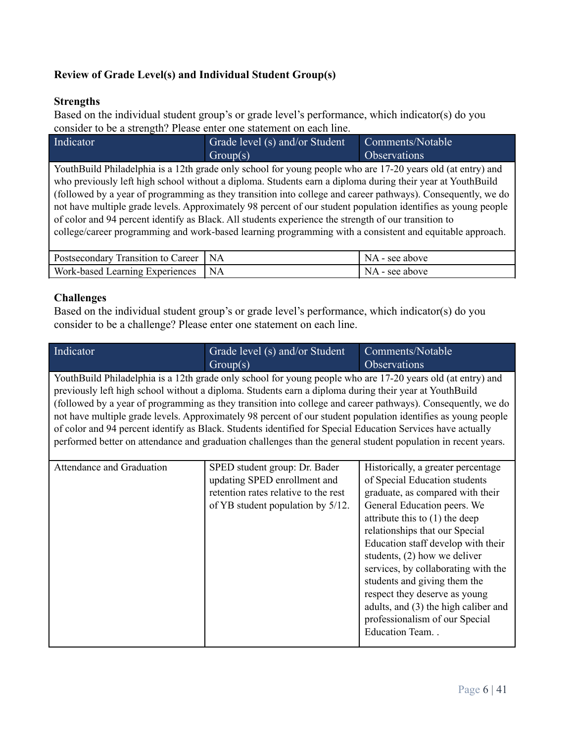## **Review of Grade Level(s) and Individual Student Group(s)**

### **Strengths**

Based on the individual student group's or grade level's performance, which indicator(s) do you consider to be a strength? Please enter one statement on each line.

| Indicator                                                                                                     | Grade level (s) and/or Student                                                                              | Comments/Notable    |  |  |  |
|---------------------------------------------------------------------------------------------------------------|-------------------------------------------------------------------------------------------------------------|---------------------|--|--|--|
|                                                                                                               | Group(s)                                                                                                    | <b>Observations</b> |  |  |  |
|                                                                                                               | YouthBuild Philadelphia is a 12th grade only school for young people who are 17-20 years old (at entry) and |                     |  |  |  |
|                                                                                                               | who previously left high school without a diploma. Students earn a diploma during their year at YouthBuild  |                     |  |  |  |
| (followed by a year of programming as they transition into college and career pathways). Consequently, we do  |                                                                                                             |                     |  |  |  |
| not have multiple grade levels. Approximately 98 percent of our student population identifies as young people |                                                                                                             |                     |  |  |  |
| of color and 94 percent identify as Black. All students experience the strength of our transition to          |                                                                                                             |                     |  |  |  |
|                                                                                                               | college/career programming and work-based learning programming with a consistent and equitable approach.    |                     |  |  |  |

| Postsecondary Transition to Career   NA |      | NA - see above |
|-----------------------------------------|------|----------------|
| Work-based Learning Experiences         | I NA | NA - see above |

## **Challenges**

Based on the individual student group's or grade level's performance, which indicator(s) do you consider to be a challenge? Please enter one statement on each line.

| Indicator                 | Grade level (s) and/or Student                                                                                | Comments/Notable                     |
|---------------------------|---------------------------------------------------------------------------------------------------------------|--------------------------------------|
|                           | Group(s)                                                                                                      | Observations                         |
|                           | YouthBuild Philadelphia is a 12th grade only school for young people who are 17-20 years old (at entry) and   |                                      |
|                           | previously left high school without a diploma. Students earn a diploma during their year at YouthBuild        |                                      |
|                           | (followed by a year of programming as they transition into college and career pathways). Consequently, we do  |                                      |
|                           | not have multiple grade levels. Approximately 98 percent of our student population identifies as young people |                                      |
|                           | of color and 94 percent identify as Black. Students identified for Special Education Services have actually   |                                      |
|                           | performed better on attendance and graduation challenges than the general student population in recent years. |                                      |
|                           |                                                                                                               |                                      |
| Attendance and Graduation | SPED student group: Dr. Bader                                                                                 | Historically, a greater percentage   |
|                           | updating SPED enrollment and                                                                                  | of Special Education students        |
|                           | retention rates relative to the rest                                                                          | graduate, as compared with their     |
|                           | General Education peers. We<br>of YB student population by 5/12.                                              |                                      |
|                           | attribute this to $(1)$ the deep                                                                              |                                      |
|                           | relationships that our Special                                                                                |                                      |
|                           |                                                                                                               | Education staff develop with their   |
|                           |                                                                                                               | students, $(2)$ how we deliver       |
|                           |                                                                                                               | services, by collaborating with the  |
|                           |                                                                                                               | students and giving them the         |
|                           |                                                                                                               | respect they deserve as young        |
|                           |                                                                                                               | adults, and (3) the high caliber and |
|                           |                                                                                                               | professionalism of our Special       |
|                           |                                                                                                               | Education Team                       |
|                           |                                                                                                               |                                      |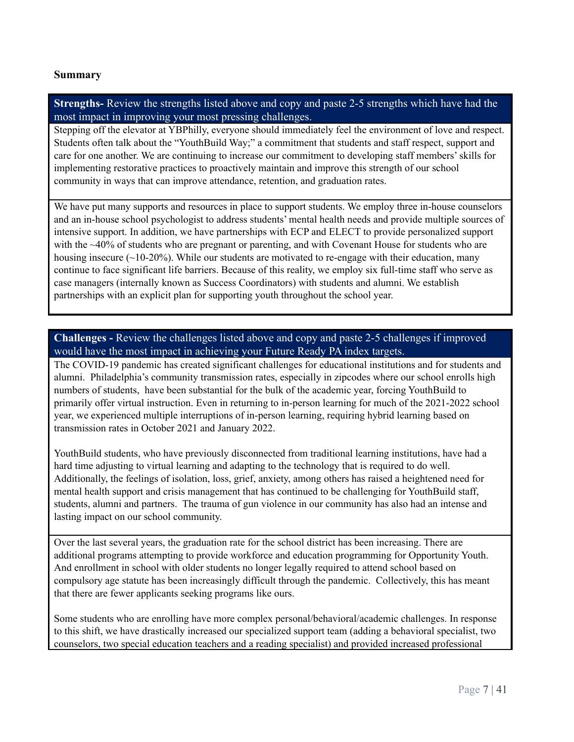#### **Summary**

**Strengths-** Review the strengths listed above and copy and paste 2-5 strengths which have had the most impact in improving your most pressing challenges.

Stepping off the elevator at YBPhilly, everyone should immediately feel the environment of love and respect. Students often talk about the "YouthBuild Way;" a commitment that students and staff respect, support and care for one another. We are continuing to increase our commitment to developing staff members'skills for implementing restorative practices to proactively maintain and improve this strength of our school community in ways that can improve attendance, retention, and graduation rates.

We have put many supports and resources in place to support students. We employ three in-house counselors and an in-house school psychologist to address students' mental health needs and provide multiple sources of intensive support. In addition, we have partnerships with ECP and ELECT to provide personalized support with the ~40% of students who are pregnant or parenting, and with Covenant House for students who are housing insecure  $(-10-20\%)$ . While our students are motivated to re-engage with their education, many continue to face significant life barriers. Because of this reality, we employ six full-time staff who serve as case managers (internally known as Success Coordinators) with students and alumni. We establish partnerships with an explicit plan for supporting youth throughout the school year.

**Challenges -** Review the challenges listed above and copy and paste 2-5 challenges if improved would have the most impact in achieving your Future Ready PA index targets.

The COVID-19 pandemic has created significant challenges for educational institutions and for students and alumni. Philadelphia's community transmission rates, especially in zipcodes where our school enrolls high numbers of students, have been substantial for the bulk of the academic year, forcing YouthBuild to primarily offer virtual instruction. Even in returning to in-person learning for much of the 2021-2022 school year, we experienced multiple interruptions of in-person learning, requiring hybrid learning based on transmission rates in October 2021 and January 2022.

YouthBuild students, who have previously disconnected from traditional learning institutions, have had a hard time adjusting to virtual learning and adapting to the technology that is required to do well. Additionally, the feelings of isolation, loss, grief, anxiety, among others has raised a heightened need for mental health support and crisis management that has continued to be challenging for YouthBuild staff, students, alumni and partners. The trauma of gun violence in our community has also had an intense and lasting impact on our school community.

Over the last several years, the graduation rate for the school district has been increasing. There are additional programs attempting to provide workforce and education programming for Opportunity Youth. And enrollment in school with older students no longer legally required to attend school based on compulsory age statute has been increasingly difficult through the pandemic. Collectively, this has meant that there are fewer applicants seeking programs like ours.

Some students who are enrolling have more complex personal/behavioral/academic challenges. In response to this shift, we have drastically increased our specialized support team (adding a behavioral specialist, two counselors, two special education teachers and a reading specialist) and provided increased professional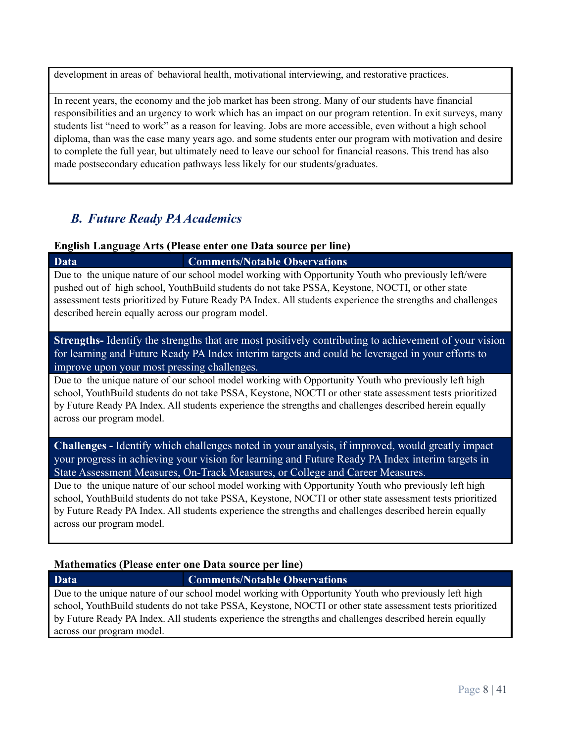development in areas of behavioral health, motivational interviewing, and restorative practices.

In recent years, the economy and the job market has been strong. Many of our students have financial responsibilities and an urgency to work which has an impact on our program retention. In exit surveys, many students list "need to work" as a reason for leaving. Jobs are more accessible, even without a high school diploma, than was the case many years ago. and some students enter our program with motivation and desire to complete the full year, but ultimately need to leave our school for financial reasons. This trend has also made postsecondary education pathways less likely for our students/graduates.

## *B. Future Ready PAAcademics*

#### **English Language Arts (Please enter one Data source per line)**

**Data Comments/Notable Observations** Due to the unique nature of our school model working with Opportunity Youth who previously left/were pushed out of high school, YouthBuild students do not take PSSA, Keystone, NOCTI, or other state assessment tests prioritized by Future Ready PA Index. All students experience the strengths and challenges described herein equally across our program model.

### **Strengths-** Identify the strengths that are most positively contributing to achievement of your vision for learning and Future Ready PA Index interim targets and could be leveraged in your efforts to improve upon your most pressing challenges.

Due to the unique nature of our school model working with Opportunity Youth who previously left high school, YouthBuild students do not take PSSA, Keystone, NOCTI or other state assessment tests prioritized by Future Ready PA Index. All students experience the strengths and challenges described herein equally across our program model.

**Challenges -** Identify which challenges noted in your analysis, if improved, would greatly impact your progress in achieving your vision for learning and Future Ready PA Index interim targets in State Assessment Measures, On-Track Measures, or College and Career Measures.

Due to the unique nature of our school model working with Opportunity Youth who previously left high school, YouthBuild students do not take PSSA, Keystone, NOCTI or other state assessment tests prioritized by Future Ready PA Index. All students experience the strengths and challenges described herein equally across our program model.

## **Mathematics (Please enter one Data source per line)**

## **Data Comments/Notable Observations**

Due to the unique nature of our school model working with Opportunity Youth who previously left high school, YouthBuild students do not take PSSA, Keystone, NOCTI or other state assessment tests prioritized by Future Ready PA Index. All students experience the strengths and challenges described herein equally across our program model.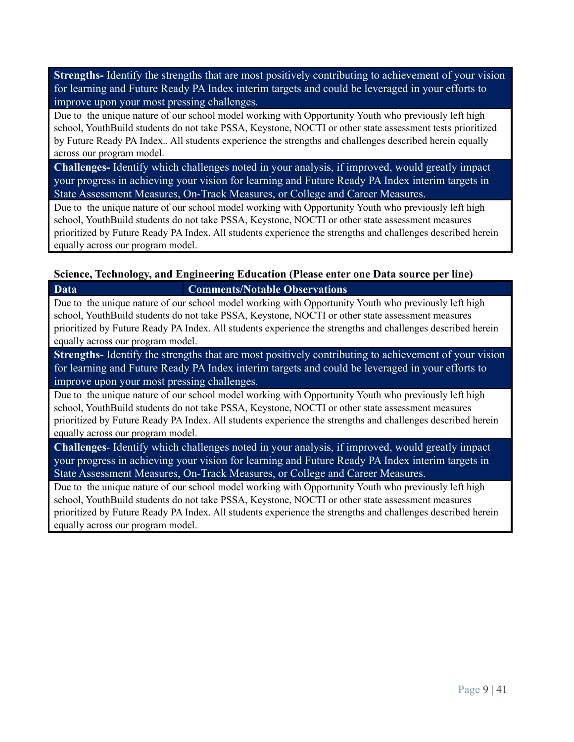**Strengths-** Identify the strengths that are most positively contributing to achievement of your vision for learning and Future Ready PA Index interim targets and could be leveraged in your efforts to improve upon your most pressing challenges.

Due to the unique nature of our school model working with Opportunity Youth who previously left high school, YouthBuild students do not take PSSA, Keystone, NOCTI or other state assessment tests prioritized by Future Ready PA Index.. All students experience the strengths and challenges described herein equally across our program model.

**Challenges-** Identify which challenges noted in your analysis, if improved, would greatly impact your progress in achieving your vision for learning and Future Ready PA Index interim targets in State Assessment Measures, On-Track Measures, or College and Career Measures.

Due to the unique nature of our school model working with Opportunity Youth who previously left high school, YouthBuild students do not take PSSA, Keystone, NOCTI or other state assessment measures prioritized by Future Ready PA Index. All students experience the strengths and challenges described herein equally across our program model.

#### **Science, Technology, and Engineering Education (Please enter one Data source per line)**

**Data Comments/Notable Observations** Due to the unique nature of our school model working with Opportunity Youth who previously left high school, YouthBuild students do not take PSSA, Keystone, NOCTI or other state assessment measures prioritized by Future Ready PA Index. All students experience the strengths and challenges described herein

equally across our program model.

**Strengths-** Identify the strengths that are most positively contributing to achievement of your vision for learning and Future Ready PA Index interim targets and could be leveraged in your efforts to improve upon your most pressing challenges.

Due to the unique nature of our school model working with Opportunity Youth who previously left high school, YouthBuild students do not take PSSA, Keystone, NOCTI or other state assessment measures prioritized by Future Ready PA Index. All students experience the strengths and challenges described herein equally across our program model.

**Challenges**- Identify which challenges noted in your analysis, if improved, would greatly impact your progress in achieving your vision for learning and Future Ready PA Index interim targets in State Assessment Measures, On-Track Measures, or College and Career Measures.

Due to the unique nature of our school model working with Opportunity Youth who previously left high school, YouthBuild students do not take PSSA, Keystone, NOCTI or other state assessment measures prioritized by Future Ready PA Index. All students experience the strengths and challenges described herein equally across our program model.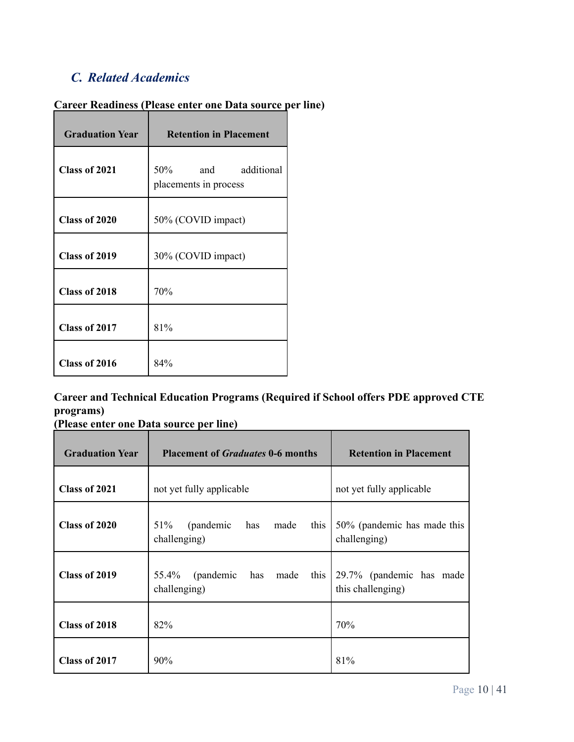# *C. Related Academics*

| <b>Graduation Year</b> | <b>Retention in Placement</b>               |  |
|------------------------|---------------------------------------------|--|
| Class of 2021          | 50% and additional<br>placements in process |  |
| Class of 2020          | 50% (COVID impact)                          |  |
| Class of 2019          | 30% (COVID impact)                          |  |
| Class of 2018          | 70%                                         |  |
| Class of 2017          | 81%                                         |  |
| Class of 2016          | 84%                                         |  |

## **Career Readiness (Please enter one Data source per line)**

## **Career and Technical Education Programs (Required if School offers PDE approved CTE programs)**

|  |  | (Please enter one Data source per line) |  |  |
|--|--|-----------------------------------------|--|--|

| <b>Graduation Year</b> | <b>Placement of Graduates 0-6 months</b>                | <b>Retention in Placement</b>                 |
|------------------------|---------------------------------------------------------|-----------------------------------------------|
| Class of 2021          | not yet fully applicable                                | not yet fully applicable                      |
| Class of 2020          | 51%<br>(pandemic<br>this<br>has<br>made<br>challenging) | 50% (pandemic has made this<br>challenging)   |
| Class of 2019          | (pandemic<br>has made<br>this<br>55.4%<br>challenging)  | 29.7% (pandemic has made<br>this challenging) |
| Class of 2018          | 82%                                                     | 70%                                           |
| Class of 2017          | 90%                                                     | 81%                                           |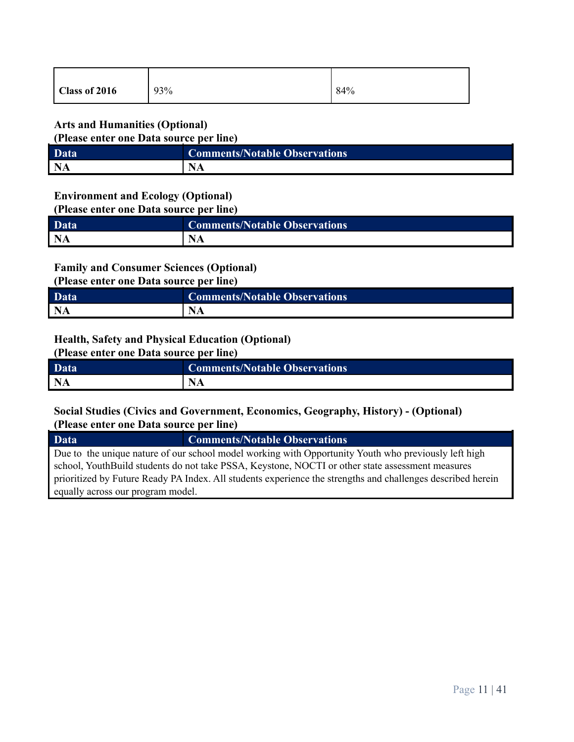| Class of 2016 | 93% | 84% |
|---------------|-----|-----|
|               |     |     |

#### **Arts and Humanities (Optional)**

**(Please enter one Data source per line)**

| Data      | <b>Comments/Notable Observations</b> |
|-----------|--------------------------------------|
| <b>NA</b> |                                      |

#### **Environment and Ecology (Optional)**

**(Please enter one Data source per line)**

| Data | <b>Comments/Notable Observations</b> |
|------|--------------------------------------|
| NA   |                                      |

## **Family and Consumer Sciences (Optional)**

**(Please enter one Data source per line)**

| Data      | <b>Comments/Notable Observations</b> |
|-----------|--------------------------------------|
| <b>NA</b> | <b>NA</b>                            |

#### **Health, Safety and Physical Education (Optional)**

**(Please enter one Data source per line)**

| <b>Data</b> | <b>Comments/Notable Observations</b> |
|-------------|--------------------------------------|
| <b>NA</b>   |                                      |

## **Social Studies (Civics and Government, Economics, Geography, History) - (Optional) (Please enter one Data source per line)**

**Data Comments/Notable Observations** Due to the unique nature of our school model working with Opportunity Youth who previously left high school, YouthBuild students do not take PSSA, Keystone, NOCTI or other state assessment measures prioritized by Future Ready PA Index. All students experience the strengths and challenges described herein equally across our program model.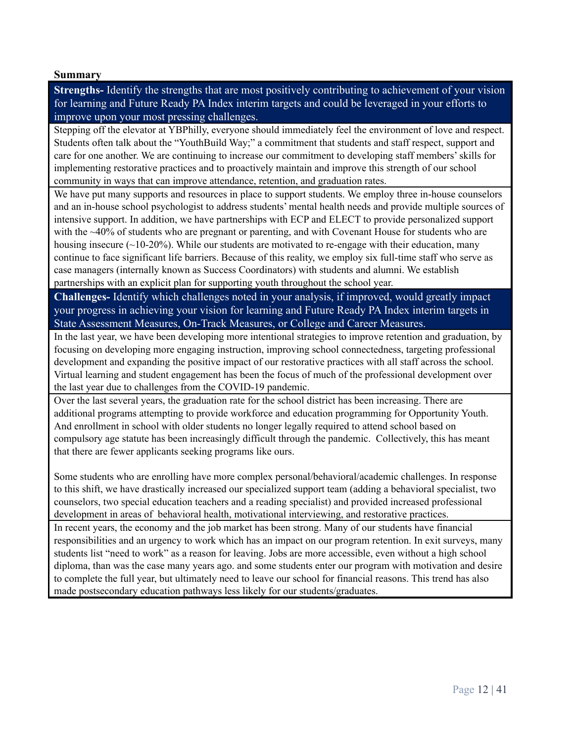#### **Summary**

**Strengths-** Identify the strengths that are most positively contributing to achievement of your vision for learning and Future Ready PA Index interim targets and could be leveraged in your efforts to improve upon your most pressing challenges.

Stepping off the elevator at YBPhilly, everyone should immediately feel the environment of love and respect. Students often talk about the "YouthBuild Way;" a commitment that students and staff respect, support and care for one another. We are continuing to increase our commitment to developing staff members'skills for implementing restorative practices and to proactively maintain and improve this strength of our school community in ways that can improve attendance, retention, and graduation rates.

We have put many supports and resources in place to support students. We employ three in-house counselors and an in-house school psychologist to address students' mental health needs and provide multiple sources of intensive support. In addition, we have partnerships with ECP and ELECT to provide personalized support with the ~40% of students who are pregnant or parenting, and with Covenant House for students who are housing insecure  $(-10-20\%)$ . While our students are motivated to re-engage with their education, many continue to face significant life barriers. Because of this reality, we employ six full-time staff who serve as case managers (internally known as Success Coordinators) with students and alumni. We establish partnerships with an explicit plan for supporting youth throughout the school year.

**Challenges-** Identify which challenges noted in your analysis, if improved, would greatly impact your progress in achieving your vision for learning and Future Ready PA Index interim targets in State Assessment Measures, On-Track Measures, or College and Career Measures.

In the last year, we have been developing more intentional strategies to improve retention and graduation, by focusing on developing more engaging instruction, improving school connectedness, targeting professional development and expanding the positive impact of our restorative practices with all staff across the school. Virtual learning and student engagement has been the focus of much of the professional development over the last year due to challenges from the COVID-19 pandemic.

Over the last several years, the graduation rate for the school district has been increasing. There are additional programs attempting to provide workforce and education programming for Opportunity Youth. And enrollment in school with older students no longer legally required to attend school based on compulsory age statute has been increasingly difficult through the pandemic. Collectively, this has meant that there are fewer applicants seeking programs like ours.

Some students who are enrolling have more complex personal/behavioral/academic challenges. In response to this shift, we have drastically increased our specialized support team (adding a behavioral specialist, two counselors, two special education teachers and a reading specialist) and provided increased professional development in areas of behavioral health, motivational interviewing, and restorative practices. In recent years, the economy and the job market has been strong. Many of our students have financial responsibilities and an urgency to work which has an impact on our program retention. In exit surveys, many students list "need to work" as a reason for leaving. Jobs are more accessible, even without a high school

diploma, than was the case many years ago. and some students enter our program with motivation and desire to complete the full year, but ultimately need to leave our school for financial reasons. This trend has also made postsecondary education pathways less likely for our students/graduates.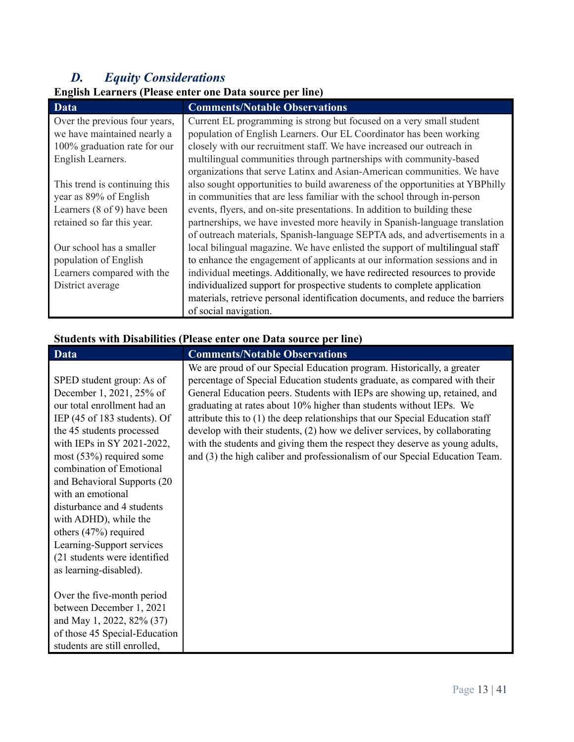# *D. Equity Considerations*

# **English Learners (Please enter one Data source per line)**

| <b>Data</b>                            | <b>Comments/Notable Observations</b>                                           |
|----------------------------------------|--------------------------------------------------------------------------------|
| Over the previous four years,          | Current EL programming is strong but focused on a very small student           |
| we have maintained nearly a            | population of English Learners. Our EL Coordinator has been working            |
| 100% graduation rate for our           | closely with our recruitment staff. We have increased our outreach in          |
| English Learners.                      | multilingual communities through partnerships with community-based             |
|                                        | organizations that serve Latinx and Asian-American communities. We have        |
| This trend is continuing this          | also sought opportunities to build awareness of the opportunities at YBPhilly  |
| year as 89% of English                 | in communities that are less familiar with the school through in-person        |
| Learners $(8 \text{ of } 9)$ have been | events, flyers, and on-site presentations. In addition to building these       |
| retained so far this year.             | partnerships, we have invested more heavily in Spanish-language translation    |
|                                        | of outreach materials, Spanish-language SEPTA ads, and advertisements in a     |
| Our school has a smaller               | local bilingual magazine. We have enlisted the support of multilingual staff   |
| population of English                  | to enhance the engagement of applicants at our information sessions and in     |
| Learners compared with the             | individual meetings. Additionally, we have redirected resources to provide     |
| District average                       | individualized support for prospective students to complete application        |
|                                        | materials, retrieve personal identification documents, and reduce the barriers |
|                                        | of social navigation.                                                          |

## **Students with Disabilities (Please enter one Data source per line)**

| Data                                              | <b>Comments/Notable Observations</b>                                          |
|---------------------------------------------------|-------------------------------------------------------------------------------|
|                                                   | We are proud of our Special Education program. Historically, a greater        |
| SPED student group: As of                         | percentage of Special Education students graduate, as compared with their     |
| December 1, 2021, 25% of                          | General Education peers. Students with IEPs are showing up, retained, and     |
| our total enrollment had an                       | graduating at rates about 10% higher than students without IEPs. We           |
| IEP $(45 \text{ of } 183 \text{ students})$ . Of  | attribute this to (1) the deep relationships that our Special Education staff |
| the 45 students processed                         | develop with their students, (2) how we deliver services, by collaborating    |
| with IEPs in SY 2021-2022,                        | with the students and giving them the respect they deserve as young adults,   |
| most $(53%)$ required some                        | and (3) the high caliber and professionalism of our Special Education Team.   |
| combination of Emotional                          |                                                                               |
| and Behavioral Supports (20)<br>with an emotional |                                                                               |
| disturbance and 4 students                        |                                                                               |
| with ADHD), while the                             |                                                                               |
| others $(47%)$ required                           |                                                                               |
| Learning-Support services                         |                                                                               |
| (21 students were identified                      |                                                                               |
| as learning-disabled).                            |                                                                               |
|                                                   |                                                                               |
| Over the five-month period                        |                                                                               |
| between December 1, 2021                          |                                                                               |
| and May 1, 2022, 82% (37)                         |                                                                               |
| of those 45 Special-Education                     |                                                                               |
| students are still enrolled,                      |                                                                               |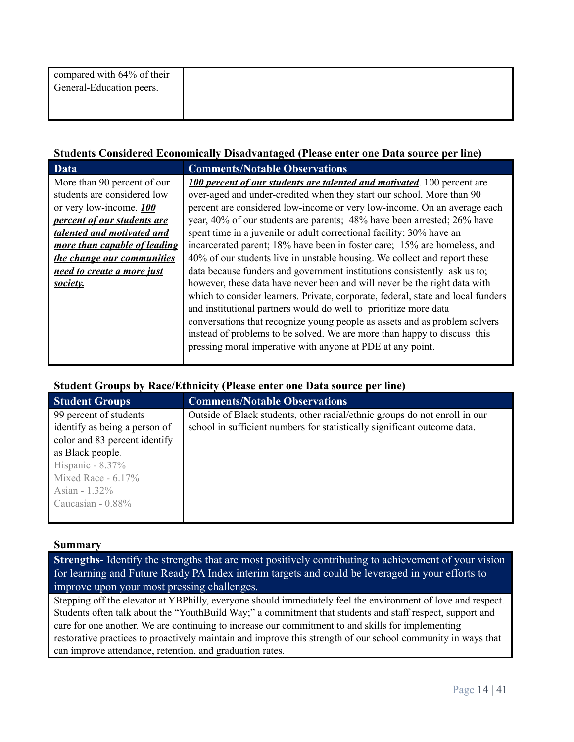| compared with 64% of their<br>General-Education peers. |  |  |
|--------------------------------------------------------|--|--|
|                                                        |  |  |

#### **Students Considered Economically Disadvantaged (Please enter one Data source per line)**

| <b>Data</b>                  | <b>Comments/Notable Observations</b>                                             |
|------------------------------|----------------------------------------------------------------------------------|
| More than 90 percent of our  | <b>100 percent of our students are talented and motivated.</b> 100 percent are   |
| students are considered low  | over-aged and under-credited when they start our school. More than 90            |
| or very low-income. 100      | percent are considered low-income or very low-income. On an average each         |
| percent of our students are  | year, 40% of our students are parents; 48% have been arrested; 26% have          |
| talented and motivated and   | spent time in a juvenile or adult correctional facility; 30% have an             |
| more than capable of leading | incarcerated parent; 18% have been in foster care; 15% are homeless, and         |
| the change our communities   | 40% of our students live in unstable housing. We collect and report these        |
| need to create a more just   | data because funders and government institutions consistently ask us to;         |
| society.                     | however, these data have never been and will never be the right data with        |
|                              | which to consider learners. Private, corporate, federal, state and local funders |
|                              | and institutional partners would do well to prioritize more data                 |
|                              | conversations that recognize young people as assets and as problem solvers       |
|                              | instead of problems to be solved. We are more than happy to discuss this         |
|                              | pressing moral imperative with anyone at PDE at any point.                       |
|                              |                                                                                  |

#### **Student Groups by Race/Ethnicity (Please enter one Data source per line)**

| <b>Student Groups</b>         | <b>Comments/Notable Observations</b>                                       |
|-------------------------------|----------------------------------------------------------------------------|
| 99 percent of students        | Outside of Black students, other racial/ethnic groups do not enroll in our |
| identify as being a person of | school in sufficient numbers for statistically significant outcome data.   |
| color and 83 percent identify |                                                                            |
| as Black people.              |                                                                            |
| Hispanic - $8.37\%$           |                                                                            |
| Mixed Race - $6.17\%$         |                                                                            |
| Asian - $1.32\%$              |                                                                            |
| Caucasian $-0.88\%$           |                                                                            |
|                               |                                                                            |

#### **Summary**

**Strengths-** Identify the strengths that are most positively contributing to achievement of your vision for learning and Future Ready PA Index interim targets and could be leveraged in your efforts to improve upon your most pressing challenges.

Stepping off the elevator at YBPhilly, everyone should immediately feel the environment of love and respect. Students often talk about the "YouthBuild Way;" a commitment that students and staff respect, support and care for one another. We are continuing to increase our commitment to and skills for implementing restorative practices to proactively maintain and improve this strength of our school community in ways that can improve attendance, retention, and graduation rates.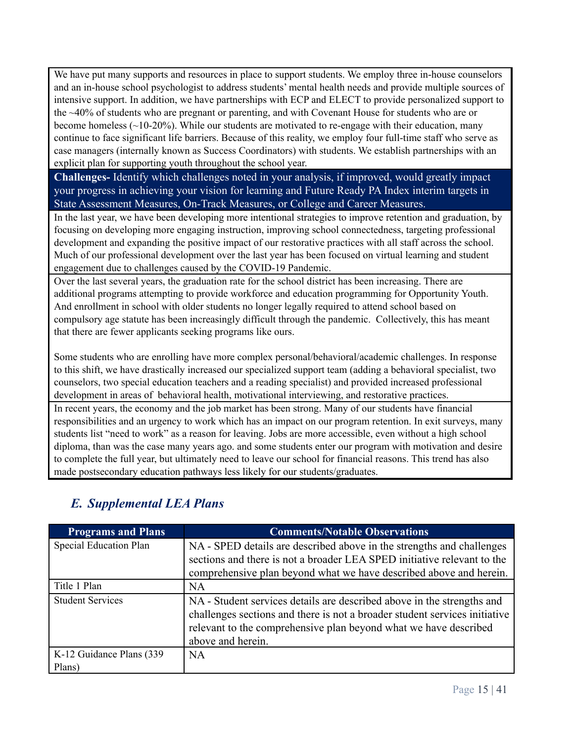We have put many supports and resources in place to support students. We employ three in-house counselors and an in-house school psychologist to address students' mental health needs and provide multiple sources of intensive support. In addition, we have partnerships with ECP and ELECT to provide personalized support to the ~40% of students who are pregnant or parenting, and with Covenant House for students who are or become homeless  $(\sim 10-20\%)$ . While our students are motivated to re-engage with their education, many continue to face significant life barriers. Because of this reality, we employ four full-time staff who serve as case managers (internally known as Success Coordinators) with students. We establish partnerships with an explicit plan for supporting youth throughout the school year.

**Challenges-** Identify which challenges noted in your analysis, if improved, would greatly impact your progress in achieving your vision for learning and Future Ready PA Index interim targets in State Assessment Measures, On-Track Measures, or College and Career Measures.

In the last year, we have been developing more intentional strategies to improve retention and graduation, by focusing on developing more engaging instruction, improving school connectedness, targeting professional development and expanding the positive impact of our restorative practices with all staff across the school. Much of our professional development over the last year has been focused on virtual learning and student engagement due to challenges caused by the COVID-19 Pandemic.

Over the last several years, the graduation rate for the school district has been increasing. There are additional programs attempting to provide workforce and education programming for Opportunity Youth. And enrollment in school with older students no longer legally required to attend school based on compulsory age statute has been increasingly difficult through the pandemic. Collectively, this has meant that there are fewer applicants seeking programs like ours.

Some students who are enrolling have more complex personal/behavioral/academic challenges. In response to this shift, we have drastically increased our specialized support team (adding a behavioral specialist, two counselors, two special education teachers and a reading specialist) and provided increased professional development in areas of behavioral health, motivational interviewing, and restorative practices. In recent years, the economy and the job market has been strong. Many of our students have financial responsibilities and an urgency to work which has an impact on our program retention. In exit surveys, many students list "need to work" as a reason for leaving. Jobs are more accessible, even without a high school diploma, than was the case many years ago. and some students enter our program with motivation and desire to complete the full year, but ultimately need to leave our school for financial reasons. This trend has also made postsecondary education pathways less likely for our students/graduates.

| <b>Programs and Plans</b>           | <b>Comments/Notable Observations</b>                                                                                                                                                                                                          |
|-------------------------------------|-----------------------------------------------------------------------------------------------------------------------------------------------------------------------------------------------------------------------------------------------|
| Special Education Plan              | NA - SPED details are described above in the strengths and challenges<br>sections and there is not a broader LEA SPED initiative relevant to the<br>comprehensive plan beyond what we have described above and herein.                        |
| Title 1 Plan                        | NA                                                                                                                                                                                                                                            |
| <b>Student Services</b>             | NA - Student services details are described above in the strengths and<br>challenges sections and there is not a broader student services initiative<br>relevant to the comprehensive plan beyond what we have described<br>above and herein. |
| K-12 Guidance Plans (339)<br>Plans) | NA.                                                                                                                                                                                                                                           |

# *E. Supplemental LEA Plans*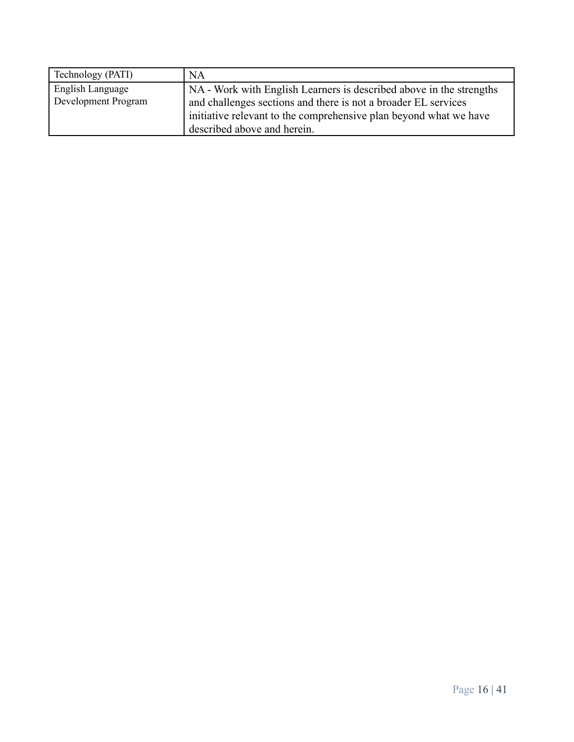| Technology (PATI)   | NA                                                                  |
|---------------------|---------------------------------------------------------------------|
| English Language    | NA - Work with English Learners is described above in the strengths |
| Development Program | and challenges sections and there is not a broader EL services      |
|                     | initiative relevant to the comprehensive plan beyond what we have   |
|                     | described above and herein.                                         |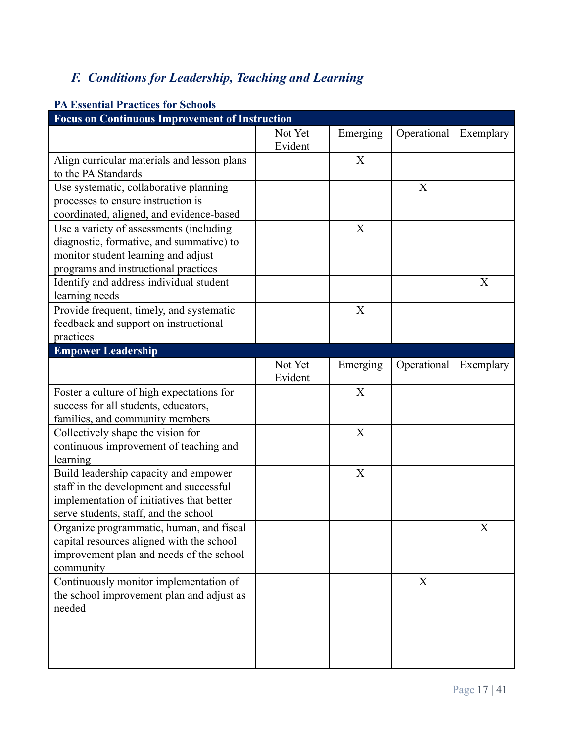# *F. Conditions for Leadership, Teaching and Learning*

| <b>Focus on Continuous Improvement of Instruction</b> |         |             |             |           |
|-------------------------------------------------------|---------|-------------|-------------|-----------|
|                                                       | Not Yet | Emerging    | Operational | Exemplary |
|                                                       | Evident |             |             |           |
| Align curricular materials and lesson plans           |         | X           |             |           |
| to the PA Standards                                   |         |             |             |           |
| Use systematic, collaborative planning                |         |             | X           |           |
| processes to ensure instruction is                    |         |             |             |           |
| coordinated, aligned, and evidence-based              |         |             |             |           |
| Use a variety of assessments (including               |         | X           |             |           |
| diagnostic, formative, and summative) to              |         |             |             |           |
| monitor student learning and adjust                   |         |             |             |           |
| programs and instructional practices                  |         |             |             |           |
| Identify and address individual student               |         |             |             | X         |
| learning needs                                        |         |             |             |           |
| Provide frequent, timely, and systematic              |         | X           |             |           |
| feedback and support on instructional                 |         |             |             |           |
| practices                                             |         |             |             |           |
| <b>Empower Leadership</b>                             |         |             |             |           |
|                                                       | Not Yet | Emerging    | Operational | Exemplary |
|                                                       | Evident |             |             |           |
| Foster a culture of high expectations for             |         | X           |             |           |
| success for all students, educators,                  |         |             |             |           |
| families, and community members                       |         | $\mathbf X$ |             |           |
| Collectively shape the vision for                     |         |             |             |           |
| continuous improvement of teaching and<br>learning    |         |             |             |           |
| Build leadership capacity and empower                 |         | X           |             |           |
| staff in the development and successful               |         |             |             |           |
| implementation of initiatives that better             |         |             |             |           |
| serve students, staff, and the school                 |         |             |             |           |
| Organize programmatic, human, and fiscal              |         |             |             | X         |
| capital resources aligned with the school             |         |             |             |           |
| improvement plan and needs of the school              |         |             |             |           |
| community                                             |         |             |             |           |
| Continuously monitor implementation of                |         |             | X           |           |
| the school improvement plan and adjust as             |         |             |             |           |
| needed                                                |         |             |             |           |
|                                                       |         |             |             |           |
|                                                       |         |             |             |           |
|                                                       |         |             |             |           |
|                                                       |         |             |             |           |

## **PA Essential Practices for Schools**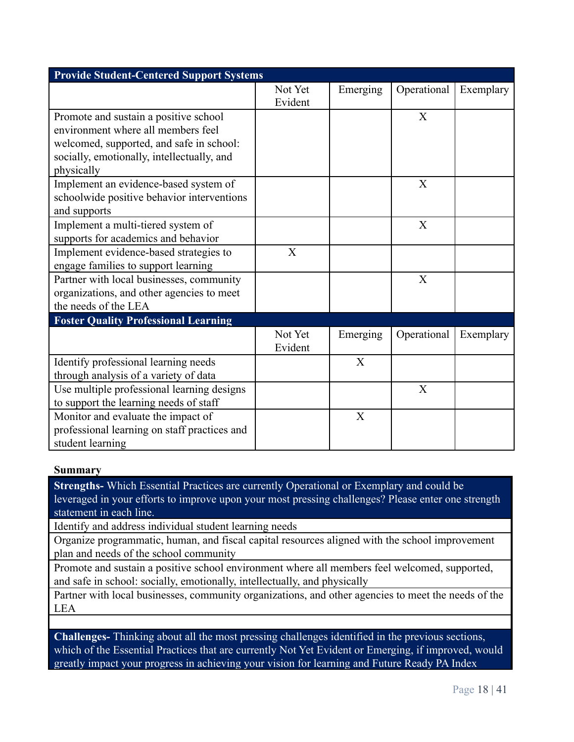| <b>Provide Student-Centered Support Systems</b> |         |          |             |           |  |
|-------------------------------------------------|---------|----------|-------------|-----------|--|
|                                                 | Not Yet | Emerging | Operational | Exemplary |  |
|                                                 | Evident |          |             |           |  |
| Promote and sustain a positive school           |         |          | X           |           |  |
| environment where all members feel              |         |          |             |           |  |
| welcomed, supported, and safe in school:        |         |          |             |           |  |
| socially, emotionally, intellectually, and      |         |          |             |           |  |
| physically                                      |         |          |             |           |  |
| Implement an evidence-based system of           |         |          | X           |           |  |
| schoolwide positive behavior interventions      |         |          |             |           |  |
| and supports                                    |         |          |             |           |  |
| Implement a multi-tiered system of              |         |          | X           |           |  |
| supports for academics and behavior             |         |          |             |           |  |
| Implement evidence-based strategies to          | X       |          |             |           |  |
| engage families to support learning             |         |          |             |           |  |
| Partner with local businesses, community        |         |          | X           |           |  |
| organizations, and other agencies to meet       |         |          |             |           |  |
| the needs of the LEA                            |         |          |             |           |  |
| <b>Foster Quality Professional Learning</b>     |         |          |             |           |  |
|                                                 | Not Yet | Emerging | Operational | Exemplary |  |
|                                                 | Evident |          |             |           |  |
| Identify professional learning needs            |         | X        |             |           |  |
| through analysis of a variety of data           |         |          |             |           |  |
| Use multiple professional learning designs      |         |          | X           |           |  |
| to support the learning needs of staff          |         |          |             |           |  |
| Monitor and evaluate the impact of              |         | X        |             |           |  |
| professional learning on staff practices and    |         |          |             |           |  |
| student learning                                |         |          |             |           |  |

#### **Summary**

**Strengths-** Which Essential Practices are currently Operational or Exemplary and could be leveraged in your efforts to improve upon your most pressing challenges? Please enter one strength statement in each line.

Identify and address individual student learning needs

Organize programmatic, human, and fiscal capital resources aligned with the school improvement plan and needs of the school community

Promote and sustain a positive school environment where all members feel welcomed, supported, and safe in school: socially, emotionally, intellectually, and physically

Partner with local businesses, community organizations, and other agencies to meet the needs of the LEA

**Challenges-** Thinking about all the most pressing challenges identified in the previous sections, which of the Essential Practices that are currently Not Yet Evident or Emerging, if improved, would greatly impact your progress in achieving your vision for learning and Future Ready PA Index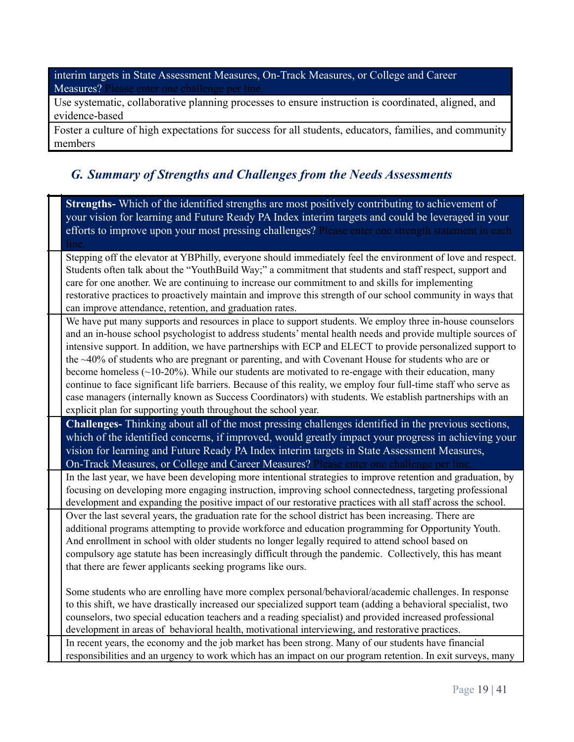interim targets in State Assessment Measures, On-Track Measures, or College and Career Measures? Please enter one challenge per line.

Use systematic, collaborative planning processes to ensure instruction is coordinated, aligned, and evidence-based

Foster a culture of high expectations for success for all students, educators, families, and community members

## *G. Summary of Strengths and Challenges from the Needs Assessments*

**Strengths-** Which of the identified strengths are most positively contributing to achievement of your vision for learning and Future Ready PA Index interim targets and could be leveraged in your efforts to improve upon your most pressing challenges? Please enter one strength statement in each line.

Stepping off the elevator at YBPhilly, everyone should immediately feel the environment of love and respect. Students often talk about the "YouthBuild Way;" a commitment that students and staff respect, support and care for one another. We are continuing to increase our commitment to and skills for implementing restorative practices to proactively maintain and improve this strength of our school community in ways that can improve attendance, retention, and graduation rates.

We have put many supports and resources in place to support students. We employ three in-house counselors and an in-house school psychologist to address students' mental health needs and provide multiple sources of intensive support. In addition, we have partnerships with ECP and ELECT to provide personalized support to the ~40% of students who are pregnant or parenting, and with Covenant House for students who are or become homeless (~10-20%). While our students are motivated to re-engage with their education, many continue to face significant life barriers. Because of this reality, we employ four full-time staff who serve as case managers (internally known as Success Coordinators) with students. We establish partnerships with an explicit plan for supporting youth throughout the school year.

**Challenges-** Thinking about all of the most pressing challenges identified in the previous sections, which of the identified concerns, if improved, would greatly impact your progress in achieving your vision for learning and Future Ready PA Index interim targets in State Assessment Measures, On-Track Measures, or College and Career Measures? Please enter one challenge per line.

In the last year, we have been developing more intentional strategies to improve retention and graduation, by focusing on developing more engaging instruction, improving school connectedness, targeting professional development and expanding the positive impact of our restorative practices with all staff across the school. Over the last several years, the graduation rate for the school district has been increasing. There are additional programs attempting to provide workforce and education programming for Opportunity Youth. And enrollment in school with older students no longer legally required to attend school based on compulsory age statute has been increasingly difficult through the pandemic. Collectively, this has meant that there are fewer applicants seeking programs like ours.

Some students who are enrolling have more complex personal/behavioral/academic challenges. In response to this shift, we have drastically increased our specialized support team (adding a behavioral specialist, two counselors, two special education teachers and a reading specialist) and provided increased professional development in areas of behavioral health, motivational interviewing, and restorative practices. In recent years, the economy and the job market has been strong. Many of our students have financial responsibilities and an urgency to work which has an impact on our program retention. In exit surveys, many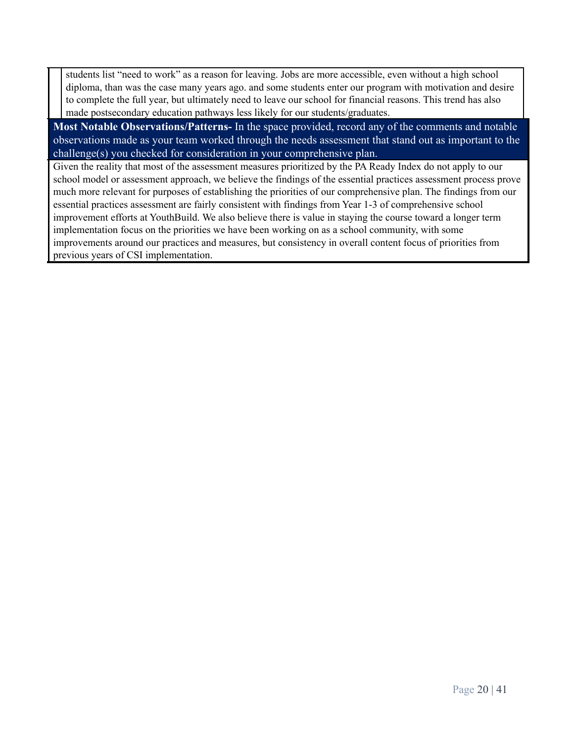students list "need to work" as a reason for leaving. Jobs are more accessible, even without a high school diploma, than was the case many years ago. and some students enter our program with motivation and desire to complete the full year, but ultimately need to leave our school for financial reasons. This trend has also made postsecondary education pathways less likely for our students/graduates.

**Most Notable Observations/Patterns-** In the space provided, record any of the comments and notable observations made as your team worked through the needs assessment that stand out as important to the challenge(s) you checked for consideration in your comprehensive plan.

Given the reality that most of the assessment measures prioritized by the PA Ready Index do not apply to our school model or assessment approach, we believe the findings of the essential practices assessment process prove much more relevant for purposes of establishing the priorities of our comprehensive plan. The findings from our essential practices assessment are fairly consistent with findings from Year 1-3 of comprehensive school improvement efforts at YouthBuild. We also believe there is value in staying the course toward a longer term implementation focus on the priorities we have been working on as a school community, with some improvements around our practices and measures, but consistency in overall content focus of priorities from previous years of CSI implementation.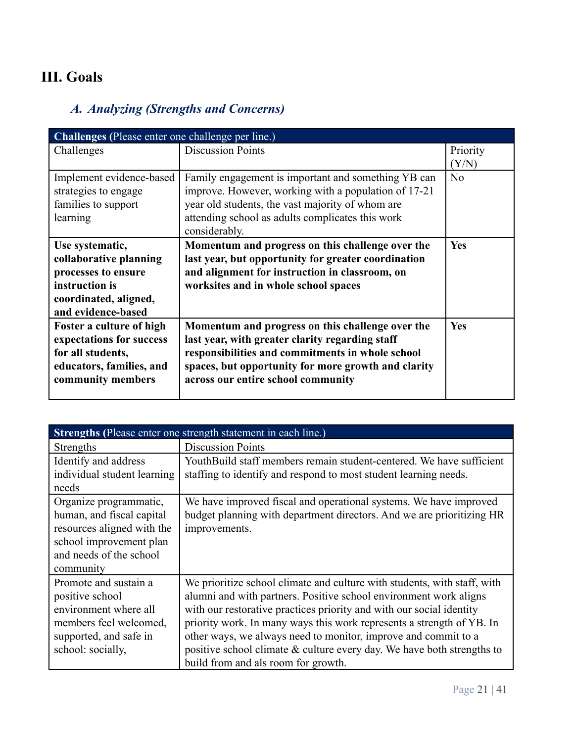# **III. Goals**

# *A. Analyzing (Strengths and Concerns)*

| Challenges (Please enter one challenge per line.) |                                                      |                |  |
|---------------------------------------------------|------------------------------------------------------|----------------|--|
| Challenges                                        | <b>Discussion Points</b>                             | Priority       |  |
|                                                   |                                                      | (Y/N)          |  |
| Implement evidence-based                          | Family engagement is important and something YB can  | N <sub>0</sub> |  |
| strategies to engage                              | improve. However, working with a population of 17-21 |                |  |
| families to support                               | year old students, the vast majority of whom are     |                |  |
| learning                                          | attending school as adults complicates this work     |                |  |
|                                                   | considerably.                                        |                |  |
| Use systematic,                                   | Momentum and progress on this challenge over the     | <b>Yes</b>     |  |
| collaborative planning                            | last year, but opportunity for greater coordination  |                |  |
| processes to ensure                               | and alignment for instruction in classroom, on       |                |  |
| instruction is                                    | worksites and in whole school spaces                 |                |  |
| coordinated, aligned,                             |                                                      |                |  |
| and evidence-based                                |                                                      |                |  |
| Foster a culture of high                          | Momentum and progress on this challenge over the     | Yes            |  |
| expectations for success                          | last year, with greater clarity regarding staff      |                |  |
| for all students,                                 | responsibilities and commitments in whole school     |                |  |
| educators, families, and                          | spaces, but opportunity for more growth and clarity  |                |  |
| community members                                 | across our entire school community                   |                |  |
|                                                   |                                                      |                |  |

| Strengths (Please enter one strength statement in each line.)                                                                                        |                                                                                                                                                                                                                                                                                                                                                                                                                                                                                     |  |  |
|------------------------------------------------------------------------------------------------------------------------------------------------------|-------------------------------------------------------------------------------------------------------------------------------------------------------------------------------------------------------------------------------------------------------------------------------------------------------------------------------------------------------------------------------------------------------------------------------------------------------------------------------------|--|--|
| Strengths                                                                                                                                            | <b>Discussion Points</b>                                                                                                                                                                                                                                                                                                                                                                                                                                                            |  |  |
| Identify and address<br>individual student learning<br>needs                                                                                         | YouthBuild staff members remain student-centered. We have sufficient<br>staffing to identify and respond to most student learning needs.                                                                                                                                                                                                                                                                                                                                            |  |  |
| Organize programmatic,<br>human, and fiscal capital<br>resources aligned with the<br>school improvement plan<br>and needs of the school<br>community | We have improved fiscal and operational systems. We have improved<br>budget planning with department directors. And we are prioritizing HR<br>improvements.                                                                                                                                                                                                                                                                                                                         |  |  |
| Promote and sustain a<br>positive school<br>environment where all<br>members feel welcomed,<br>supported, and safe in<br>school: socially,           | We prioritize school climate and culture with students, with staff, with<br>alumni and with partners. Positive school environment work aligns<br>with our restorative practices priority and with our social identity<br>priority work. In many ways this work represents a strength of YB. In<br>other ways, we always need to monitor, improve and commit to a<br>positive school climate $&$ culture every day. We have both strengths to<br>build from and als room for growth. |  |  |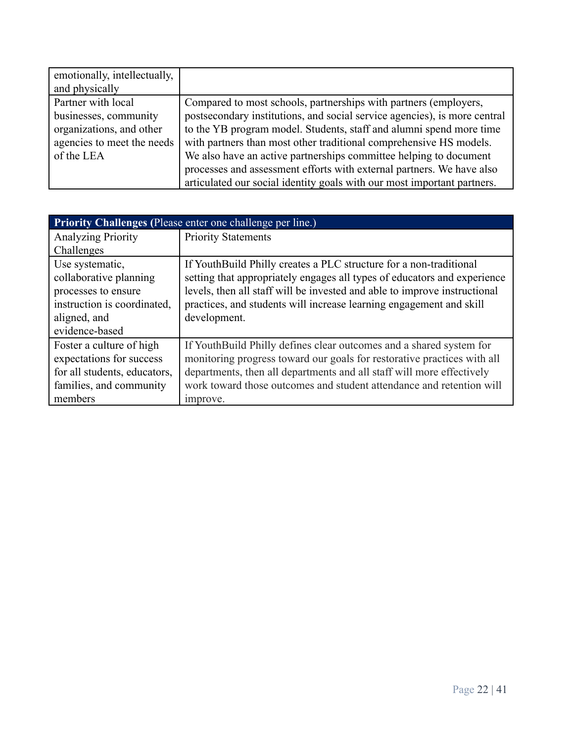| emotionally, intellectually, |                                                                           |
|------------------------------|---------------------------------------------------------------------------|
| and physically               |                                                                           |
| Partner with local           | Compared to most schools, partnerships with partners (employers,          |
| businesses, community        | postsecondary institutions, and social service agencies), is more central |
| organizations, and other     | to the YB program model. Students, staff and alumni spend more time       |
| agencies to meet the needs   | with partners than most other traditional comprehensive HS models.        |
| of the LEA                   | We also have an active partnerships committee helping to document         |
|                              | processes and assessment efforts with external partners. We have also     |
|                              | articulated our social identity goals with our most important partners.   |

| <b>Priority Challenges (Please enter one challenge per line.)</b> |                                                                           |  |  |
|-------------------------------------------------------------------|---------------------------------------------------------------------------|--|--|
| <b>Analyzing Priority</b>                                         | <b>Priority Statements</b>                                                |  |  |
| Challenges                                                        |                                                                           |  |  |
| Use systematic,                                                   | If YouthBuild Philly creates a PLC structure for a non-traditional        |  |  |
| collaborative planning                                            | setting that appropriately engages all types of educators and experience  |  |  |
| processes to ensure                                               | levels, then all staff will be invested and able to improve instructional |  |  |
| instruction is coordinated,                                       | practices, and students will increase learning engagement and skill       |  |  |
| aligned, and                                                      | development.                                                              |  |  |
| evidence-based                                                    |                                                                           |  |  |
| Foster a culture of high                                          | If YouthBuild Philly defines clear outcomes and a shared system for       |  |  |
| expectations for success                                          | monitoring progress toward our goals for restorative practices with all   |  |  |
| for all students, educators,                                      | departments, then all departments and all staff will more effectively     |  |  |
| families, and community                                           | work toward those outcomes and student attendance and retention will      |  |  |
| members                                                           | improve.                                                                  |  |  |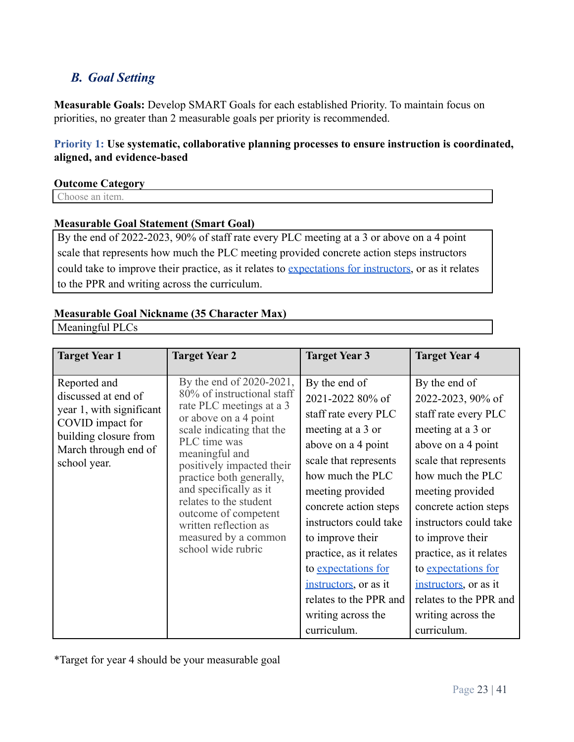# *B. Goal Setting*

**Measurable Goals:** Develop SMART Goals for each established Priority. To maintain focus on priorities, no greater than 2 measurable goals per priority is recommended.

## **Priority 1: Use systematic, collaborative planning processes to ensure instruction is coordinated, aligned, and evidence-based**

#### **Outcome Category**

Choose an item.

#### **Measurable Goal Statement (Smart Goal)**

By the end of 2022-2023, 90% of staff rate every PLC meeting at a 3 or above on a 4 point scale that represents how much the PLC meeting provided concrete action steps instructors could take to improve their practice, as it relates to [expectations for instructors](https://docs.google.com/document/d/1KGfU3jR6SIADmUo_SpZBe4NTE_Mkgj-P07tf7uhHE5Q/edit?ts=606e77ba), or as it relates to the PPR and writing across the curriculum.

### **Measurable Goal Nickname (35 Character Max)**

Meaningful PLCs

| <b>Target Year 1</b>                                                                                                                                 | <b>Target Year 2</b>                                                                                                                                                                                                                                                                                                                                                                   | <b>Target Year 3</b>                                                                                                                                                                                                                                                                                                                                                                   | <b>Target Year 4</b>                                                                                                                                                                                                                                                                                                                                                                    |
|------------------------------------------------------------------------------------------------------------------------------------------------------|----------------------------------------------------------------------------------------------------------------------------------------------------------------------------------------------------------------------------------------------------------------------------------------------------------------------------------------------------------------------------------------|----------------------------------------------------------------------------------------------------------------------------------------------------------------------------------------------------------------------------------------------------------------------------------------------------------------------------------------------------------------------------------------|-----------------------------------------------------------------------------------------------------------------------------------------------------------------------------------------------------------------------------------------------------------------------------------------------------------------------------------------------------------------------------------------|
| Reported and<br>discussed at end of<br>year 1, with significant<br>COVID impact for<br>building closure from<br>March through end of<br>school year. | By the end of 2020-2021,<br>80% of instructional staff<br>rate PLC meetings at a 3<br>or above on a 4 point<br>scale indicating that the<br>PLC time was<br>meaningful and<br>positively impacted their<br>practice both generally,<br>and specifically as it<br>relates to the student<br>outcome of competent<br>written reflection as<br>measured by a common<br>school wide rubric | By the end of<br>2021-2022 80% of<br>staff rate every PLC<br>meeting at a 3 or<br>above on a 4 point<br>scale that represents<br>how much the PLC<br>meeting provided<br>concrete action steps<br>instructors could take<br>to improve their<br>practice, as it relates<br>to expectations for<br>instructors, or as it<br>relates to the PPR and<br>writing across the<br>curriculum. | By the end of<br>2022-2023, 90% of<br>staff rate every PLC<br>meeting at a 3 or<br>above on a 4 point<br>scale that represents<br>how much the PLC<br>meeting provided<br>concrete action steps<br>instructors could take<br>to improve their<br>practice, as it relates<br>to expectations for<br>instructors, or as it<br>relates to the PPR and<br>writing across the<br>curriculum. |

\*Target for year 4 should be your measurable goal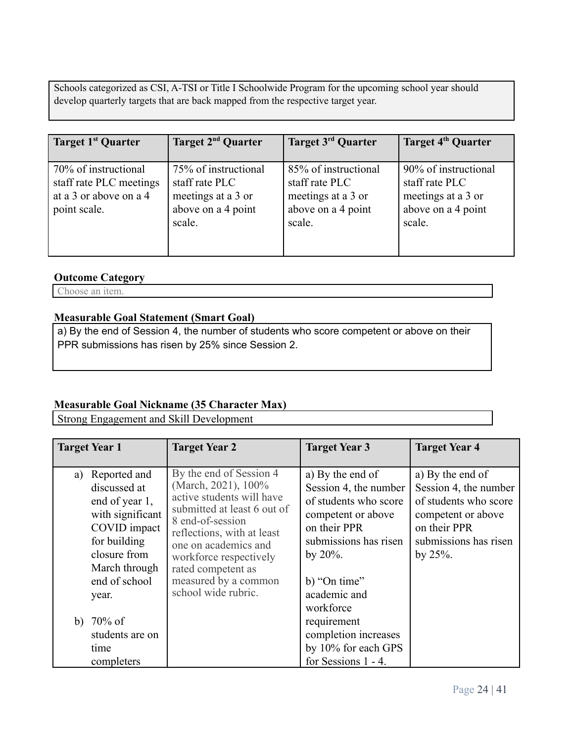Schools categorized as CSI, A-TSI or Title I Schoolwide Program for the upcoming school year should develop quarterly targets that are back mapped from the respective target year.

| Target 1 <sup>st</sup> Quarter                                                            | Target 2 <sup>nd</sup> Quarter                                                               | Target 3 <sup>rd</sup> Quarter                                                               | Target 4 <sup>th</sup> Quarter                                                               |
|-------------------------------------------------------------------------------------------|----------------------------------------------------------------------------------------------|----------------------------------------------------------------------------------------------|----------------------------------------------------------------------------------------------|
| 70% of instructional<br>staff rate PLC meetings<br>at a 3 or above on a 4<br>point scale. | 75% of instructional<br>staff rate PLC<br>meetings at a 3 or<br>above on a 4 point<br>scale. | 85% of instructional<br>staff rate PLC<br>meetings at a 3 or<br>above on a 4 point<br>scale. | 90% of instructional<br>staff rate PLC<br>meetings at a 3 or<br>above on a 4 point<br>scale. |

#### **Outcome Category**

Choose an item.

#### **Measurable Goal Statement (Smart Goal)**

a) By the end of Session 4, the number of students who score competent or above on their PPR submissions has risen by 25% since Session 2.

## **Measurable Goal Nickname (35 Character Max)**

Strong Engagement and Skill Development

| <b>Target Year 1</b>                                                                                                                                                | <b>Target Year 2</b>                                                                                                                                                                                                                                                                | <b>Target Year 3</b>                                                                                                                                                                          | <b>Target Year 4</b>                                                                                                                            |
|---------------------------------------------------------------------------------------------------------------------------------------------------------------------|-------------------------------------------------------------------------------------------------------------------------------------------------------------------------------------------------------------------------------------------------------------------------------------|-----------------------------------------------------------------------------------------------------------------------------------------------------------------------------------------------|-------------------------------------------------------------------------------------------------------------------------------------------------|
| Reported and<br>a)<br>discussed at<br>end of year 1,<br>with significant<br>COVID impact<br>for building<br>closure from<br>March through<br>end of school<br>year. | By the end of Session 4<br>(March, 2021), 100%<br>active students will have<br>submitted at least 6 out of<br>8 end-of-session<br>reflections, with at least<br>one on academics and<br>workforce respectively<br>rated competent as<br>measured by a common<br>school wide rubric. | a) By the end of<br>Session 4, the number<br>of students who score<br>competent or above<br>on their PPR<br>submissions has risen<br>by $20\%$ .<br>b) "On time"<br>academic and<br>workforce | a) By the end of<br>Session 4, the number<br>of students who score<br>competent or above<br>on their PPR<br>submissions has risen<br>by $25%$ . |
| b) $70\%$ of<br>students are on                                                                                                                                     |                                                                                                                                                                                                                                                                                     | requirement<br>completion increases                                                                                                                                                           |                                                                                                                                                 |
| time                                                                                                                                                                |                                                                                                                                                                                                                                                                                     | by 10% for each GPS                                                                                                                                                                           |                                                                                                                                                 |
| completers                                                                                                                                                          |                                                                                                                                                                                                                                                                                     | for Sessions 1 - 4.                                                                                                                                                                           |                                                                                                                                                 |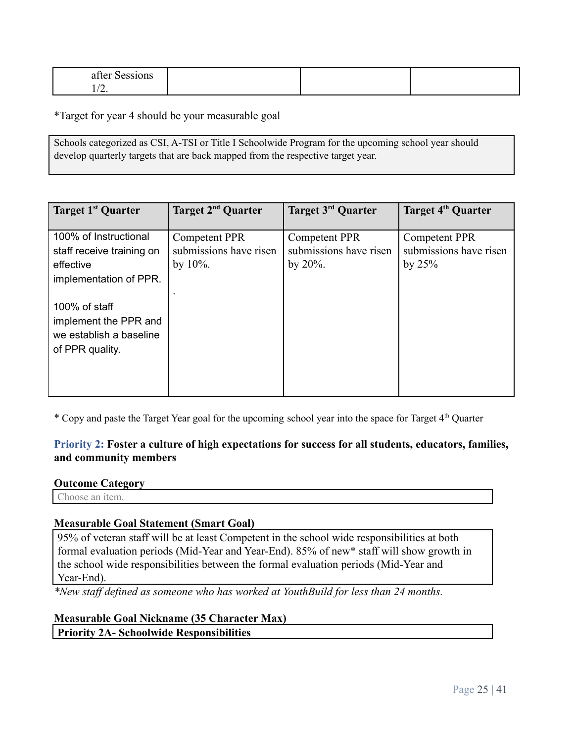| $-1$<br>alle'<br>,,,, |  |  |
|-----------------------|--|--|
| $\overline{a}$ .      |  |  |

\*Target for year 4 should be your measurable goal

Schools categorized as CSI, A-TSI or Title I Schoolwide Program for the upcoming school year should develop quarterly targets that are back mapped from the respective target year.

| Target 1 <sup>st</sup> Quarter                                                            | Target 2 <sup>nd</sup> Quarter                                | Target 3rd Quarter                                            | Target 4 <sup>th</sup> Quarter                             |
|-------------------------------------------------------------------------------------------|---------------------------------------------------------------|---------------------------------------------------------------|------------------------------------------------------------|
| 100% of Instructional<br>staff receive training on<br>effective<br>implementation of PPR. | <b>Competent PPR</b><br>submissions have risen<br>by $10\%$ . | <b>Competent PPR</b><br>submissions have risen<br>by $20\%$ . | <b>Competent PPR</b><br>submissions have risen<br>by $25%$ |
| 100% of staff<br>implement the PPR and<br>we establish a baseline<br>of PPR quality.      |                                                               |                                                               |                                                            |

\* Copy and paste the Target Year goal for the upcoming school year into the space for Target 4<sup>th</sup> Quarter

## **Priority 2: Foster a culture of high expectations for success for all students, educators, families, and community members**

#### **Outcome Category**

Choose an item.

#### **Measurable Goal Statement (Smart Goal)**

95% of veteran staff will be at least Competent in the school wide responsibilities at both formal evaluation periods (Mid-Year and Year-End). 85% of new\* staff will show growth in the school wide responsibilities between the formal evaluation periods (Mid-Year and Year-End).

*\*New staff defined as someone who has worked at YouthBuild for less than 24 months.*

#### **Measurable Goal Nickname (35 Character Max)**

**Priority 2A- Schoolwide Responsibilities**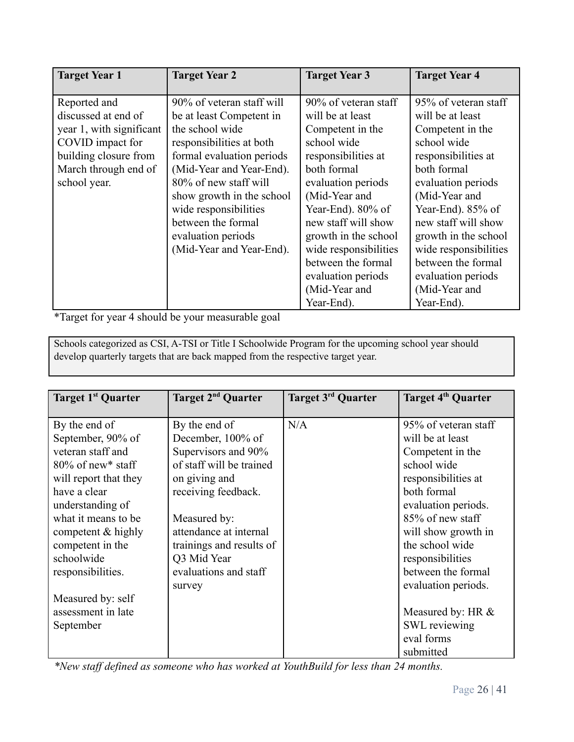| <b>Target Year 1</b>     | <b>Target Year 2</b>      | <b>Target Year 3</b>  | <b>Target Year 4</b>  |
|--------------------------|---------------------------|-----------------------|-----------------------|
|                          |                           |                       |                       |
| Reported and             | 90% of veteran staff will | 90% of veteran staff  | 95% of veteran staff  |
| discussed at end of      | be at least Competent in  | will be at least      | will be at least      |
| year 1, with significant | the school wide           | Competent in the      | Competent in the      |
| COVID impact for         | responsibilities at both  | school wide           | school wide           |
| building closure from    | formal evaluation periods | responsibilities at   | responsibilities at   |
| March through end of     | (Mid-Year and Year-End).  | both formal           | both formal           |
| school year.             | 80% of new staff will     | evaluation periods    | evaluation periods    |
|                          | show growth in the school | (Mid-Year and         | (Mid-Year and         |
|                          | wide responsibilities     | Year-End). 80% of     | Year-End). 85% of     |
|                          | between the formal        | new staff will show   | new staff will show   |
|                          | evaluation periods        | growth in the school  | growth in the school  |
|                          | (Mid-Year and Year-End).  | wide responsibilities | wide responsibilities |
|                          |                           | between the formal    | between the formal    |
|                          |                           | evaluation periods    | evaluation periods    |
|                          |                           | (Mid-Year and         | (Mid-Year and         |
|                          |                           | Year-End).            | Year-End).            |

\*Target for year 4 should be your measurable goal

Schools categorized as CSI, A-TSI or Title I Schoolwide Program for the upcoming school year should develop quarterly targets that are back mapped from the respective target year.

| Target 1 <sup>st</sup> Quarter                                                                                                                                                                                                                   | Target 2 <sup>nd</sup> Quarter                                                                                                                                                                                                              | Target 3 <sup>rd</sup> Quarter | Target 4 <sup>th</sup> Quarter                                                                                                                                                                                                                   |
|--------------------------------------------------------------------------------------------------------------------------------------------------------------------------------------------------------------------------------------------------|---------------------------------------------------------------------------------------------------------------------------------------------------------------------------------------------------------------------------------------------|--------------------------------|--------------------------------------------------------------------------------------------------------------------------------------------------------------------------------------------------------------------------------------------------|
| By the end of<br>September, 90% of<br>veteran staff and<br>$80\%$ of new* staff<br>will report that they<br>have a clear<br>understanding of<br>what it means to be<br>competent & highly<br>competent in the<br>schoolwide<br>responsibilities. | By the end of<br>December, 100% of<br>Supervisors and 90%<br>of staff will be trained<br>on giving and<br>receiving feedback.<br>Measured by:<br>attendance at internal<br>trainings and results of<br>Q3 Mid Year<br>evaluations and staff | N/A                            | 95% of veteran staff<br>will be at least<br>Competent in the<br>school wide<br>responsibilities at<br>both formal<br>evaluation periods.<br>85% of new staff<br>will show growth in<br>the school wide<br>responsibilities<br>between the formal |
| Measured by: self<br>assessment in late<br>September                                                                                                                                                                                             | survey                                                                                                                                                                                                                                      |                                | evaluation periods.<br>Measured by: HR $&$<br><b>SWL</b> reviewing<br>eval forms<br>submitted                                                                                                                                                    |

*\*New staff defined as someone who has worked at YouthBuild for less than 24 months.*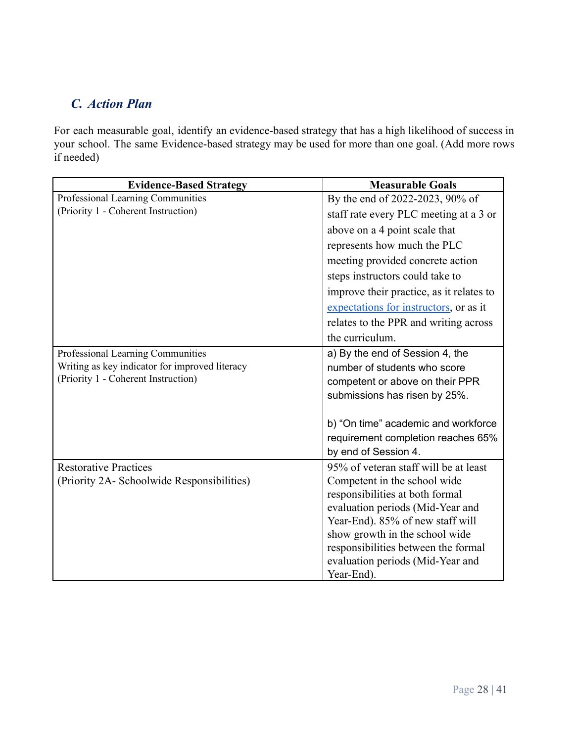# *C. Action Plan*

For each measurable goal, identify an evidence-based strategy that has a high likelihood of success in your school. The same Evidence-based strategy may be used for more than one goal. (Add more rows if needed)

| <b>Evidence-Based Strategy</b>                 | <b>Measurable Goals</b>                  |
|------------------------------------------------|------------------------------------------|
| Professional Learning Communities              | By the end of 2022-2023, 90% of          |
| (Priority 1 - Coherent Instruction)            | staff rate every PLC meeting at a 3 or   |
|                                                | above on a 4 point scale that            |
|                                                | represents how much the PLC              |
|                                                | meeting provided concrete action         |
|                                                | steps instructors could take to          |
|                                                | improve their practice, as it relates to |
|                                                | expectations for instructors, or as it   |
|                                                | relates to the PPR and writing across    |
|                                                | the curriculum.                          |
| Professional Learning Communities              | a) By the end of Session 4, the          |
| Writing as key indicator for improved literacy | number of students who score             |
| (Priority 1 - Coherent Instruction)            | competent or above on their PPR          |
|                                                | submissions has risen by 25%.            |
|                                                | b) "On time" academic and workforce      |
|                                                | requirement completion reaches 65%       |
|                                                | by end of Session 4.                     |
| <b>Restorative Practices</b>                   | 95% of veteran staff will be at least    |
| (Priority 2A- Schoolwide Responsibilities)     | Competent in the school wide             |
|                                                | responsibilities at both formal          |
|                                                | evaluation periods (Mid-Year and         |
|                                                | Year-End). 85% of new staff will         |
|                                                | show growth in the school wide           |
|                                                | responsibilities between the formal      |
|                                                | evaluation periods (Mid-Year and         |
|                                                | Year-End).                               |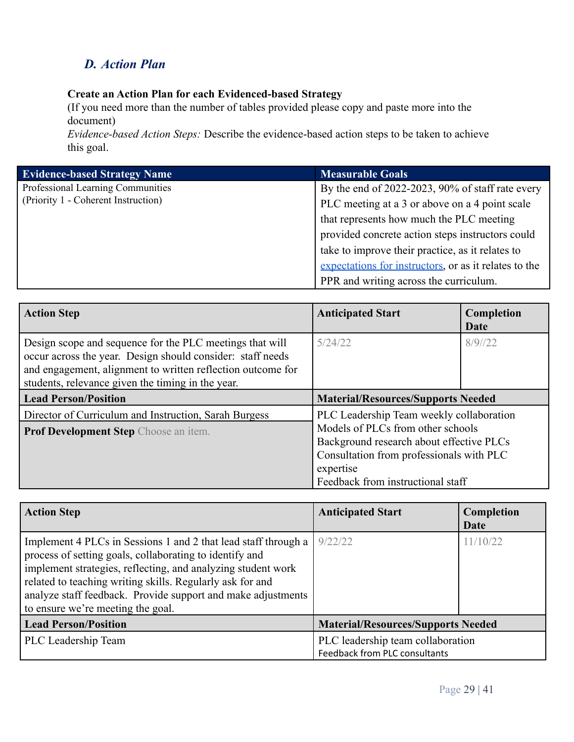# *D. Action Plan*

## **Create an Action Plan for each Evidenced-based Strategy**

(If you need more than the number of tables provided please copy and paste more into the document)

*Evidence-based Action Steps:* Describe the evidence-based action steps to be taken to achieve this goal.

| <b>Evidence-based Strategy Name</b> | <b>Measurable Goals</b>                               |
|-------------------------------------|-------------------------------------------------------|
| Professional Learning Communities   | By the end of 2022-2023, 90% of staff rate every      |
| (Priority 1 - Coherent Instruction) | PLC meeting at a 3 or above on a 4 point scale        |
|                                     | that represents how much the PLC meeting              |
|                                     | provided concrete action steps instructors could      |
|                                     | take to improve their practice, as it relates to      |
|                                     | expectations for instructors, or as it relates to the |
|                                     | PPR and writing across the curriculum.                |

| <b>Action Step</b>                                                                                                                                                                                                                         | <b>Anticipated Start</b>                                                                                                                                                    | Completion<br>Date |
|--------------------------------------------------------------------------------------------------------------------------------------------------------------------------------------------------------------------------------------------|-----------------------------------------------------------------------------------------------------------------------------------------------------------------------------|--------------------|
| Design scope and sequence for the PLC meetings that will<br>occur across the year. Design should consider: staff needs<br>and engagement, alignment to written reflection outcome for<br>students, relevance given the timing in the year. | 5/24/22                                                                                                                                                                     | 8/9/22             |
| <b>Lead Person/Position</b>                                                                                                                                                                                                                | <b>Material/Resources/Supports Needed</b>                                                                                                                                   |                    |
| Director of Curriculum and Instruction, Sarah Burgess                                                                                                                                                                                      | PLC Leadership Team weekly collaboration                                                                                                                                    |                    |
| <b>Prof Development Step</b> Choose an item.                                                                                                                                                                                               | Models of PLCs from other schools<br>Background research about effective PLCs<br>Consultation from professionals with PLC<br>expertise<br>Feedback from instructional staff |                    |

| <b>Action Step</b>                                                                                                                                                                                                                                                                                                                                          | <b>Anticipated Start</b>                                           | Completion<br>Date |
|-------------------------------------------------------------------------------------------------------------------------------------------------------------------------------------------------------------------------------------------------------------------------------------------------------------------------------------------------------------|--------------------------------------------------------------------|--------------------|
| Implement 4 PLCs in Sessions 1 and 2 that lead staff through a<br>process of setting goals, collaborating to identify and<br>implement strategies, reflecting, and analyzing student work<br>related to teaching writing skills. Regularly ask for and<br>analyze staff feedback. Provide support and make adjustments<br>to ensure we're meeting the goal. | 9/22/22                                                            | 11/10/22           |
| <b>Lead Person/Position</b>                                                                                                                                                                                                                                                                                                                                 | <b>Material/Resources/Supports Needed</b>                          |                    |
| PLC Leadership Team                                                                                                                                                                                                                                                                                                                                         | PLC leadership team collaboration<br>Feedback from PLC consultants |                    |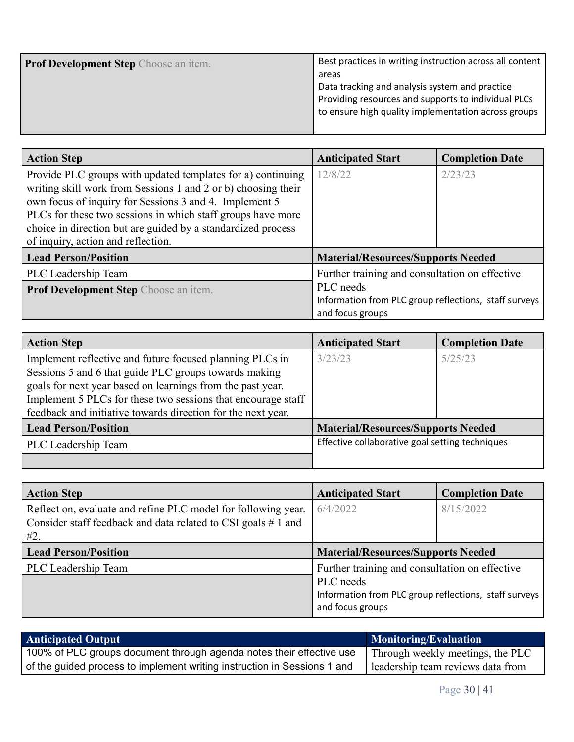| <b>Prof Development Step</b> Choose an item. | Best practices in writing instruction across all content |
|----------------------------------------------|----------------------------------------------------------|
|                                              | areas                                                    |
|                                              | Data tracking and analysis system and practice           |
|                                              | Providing resources and supports to individual PLCs      |
|                                              | to ensure high quality implementation across groups      |
|                                              |                                                          |

| <b>Action Step</b>                                                                                                           | <b>Anticipated Start</b>                              | <b>Completion Date</b> |
|------------------------------------------------------------------------------------------------------------------------------|-------------------------------------------------------|------------------------|
| Provide PLC groups with updated templates for a) continuing<br>writing skill work from Sessions 1 and 2 or b) choosing their | 12/8/22                                               | 2/23/23                |
| own focus of inquiry for Sessions 3 and 4. Implement 5                                                                       |                                                       |                        |
| PLCs for these two sessions in which staff groups have more                                                                  |                                                       |                        |
| choice in direction but are guided by a standardized process                                                                 |                                                       |                        |
| of inquiry, action and reflection.                                                                                           |                                                       |                        |
| <b>Lead Person/Position</b>                                                                                                  | <b>Material/Resources/Supports Needed</b>             |                        |
| PLC Leadership Team                                                                                                          | Further training and consultation on effective        |                        |
| <b>Prof Development Step</b> Choose an item.                                                                                 | PLC needs                                             |                        |
|                                                                                                                              | Information from PLC group reflections, staff surveys |                        |
|                                                                                                                              | and focus groups                                      |                        |

| <b>Action Step</b>                                           | <b>Anticipated Start</b>                        | <b>Completion Date</b> |
|--------------------------------------------------------------|-------------------------------------------------|------------------------|
| Implement reflective and future focused planning PLCs in     | 3/23/23                                         | 5/25/23                |
| Sessions 5 and 6 that guide PLC groups towards making        |                                                 |                        |
| goals for next year based on learnings from the past year.   |                                                 |                        |
| Implement 5 PLCs for these two sessions that encourage staff |                                                 |                        |
| feedback and initiative towards direction for the next year. |                                                 |                        |
| <b>Lead Person/Position</b>                                  | <b>Material/Resources/Supports Needed</b>       |                        |
| PLC Leadership Team                                          | Effective collaborative goal setting techniques |                        |
|                                                              |                                                 |                        |

| <b>Action Step</b>                                                                                                                      | <b>Anticipated Start</b>                                                                                                                 | <b>Completion Date</b> |
|-----------------------------------------------------------------------------------------------------------------------------------------|------------------------------------------------------------------------------------------------------------------------------------------|------------------------|
| Reflect on, evaluate and refine PLC model for following year.<br>Consider staff feedback and data related to CSI goals $# 1$ and<br>#2. | 6/4/2022                                                                                                                                 | 8/15/2022              |
| <b>Lead Person/Position</b>                                                                                                             | <b>Material/Resources/Supports Needed</b>                                                                                                |                        |
| PLC Leadership Team                                                                                                                     | Further training and consultation on effective<br>PLC needs<br>Information from PLC group reflections, staff surveys<br>and focus groups |                        |

| <b>Anticipated Output</b>                                                | <b>Monitoring/Evaluation</b>      |
|--------------------------------------------------------------------------|-----------------------------------|
| 100% of PLC groups document through agenda notes their effective use     | Through weekly meetings, the PLC  |
| of the guided process to implement writing instruction in Sessions 1 and | leadership team reviews data from |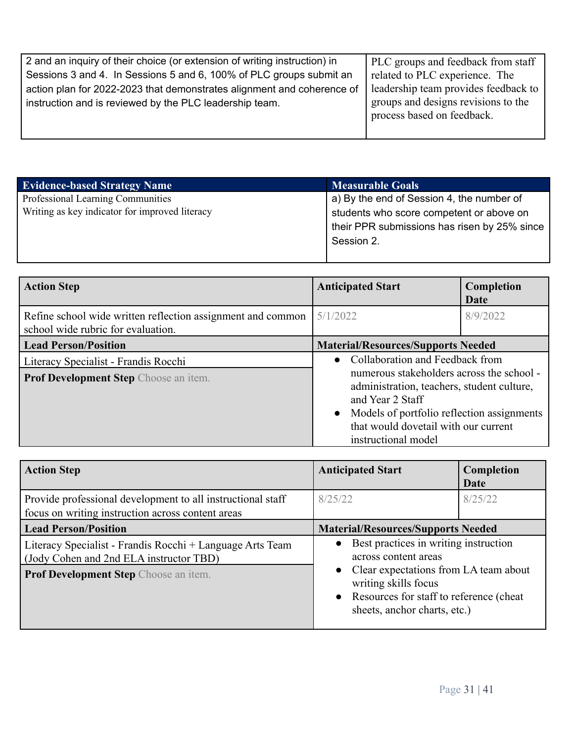| 2 and an inquiry of their choice (or extension of writing instruction) in | PLC groups and feedback from staff   |
|---------------------------------------------------------------------------|--------------------------------------|
| Sessions 3 and 4. In Sessions 5 and 6, 100% of PLC groups submit an       | related to PLC experience. The       |
| action plan for 2022-2023 that demonstrates alignment and coherence of    | leadership team provides feedback to |
| instruction and is reviewed by the PLC leadership team.                   | groups and designs revisions to the  |
|                                                                           | process based on feedback.           |
|                                                                           |                                      |

| <b>Evidence-based Strategy Name</b>            | <b>Measurable Goals</b>                            |
|------------------------------------------------|----------------------------------------------------|
| Professional Learning Communities              | $\alpha$ a) By the end of Session 4, the number of |
| Writing as key indicator for improved literacy | students who score competent or above on           |
|                                                | their PPR submissions has risen by 25% since       |
|                                                | Session 2.                                         |
|                                                |                                                    |

| <b>Action Step</b>                                                                                | <b>Anticipated Start</b>                                                                                                                                                                                                 | Completion<br>Date |
|---------------------------------------------------------------------------------------------------|--------------------------------------------------------------------------------------------------------------------------------------------------------------------------------------------------------------------------|--------------------|
| Refine school wide written reflection assignment and common<br>school wide rubric for evaluation. | 5/1/2022                                                                                                                                                                                                                 | 8/9/2022           |
| <b>Lead Person/Position</b>                                                                       | <b>Material/Resources/Supports Needed</b>                                                                                                                                                                                |                    |
| Literacy Specialist - Frandis Rocchi                                                              | Collaboration and Feedback from<br>$\bullet$                                                                                                                                                                             |                    |
| <b>Prof Development Step</b> Choose an item.                                                      | numerous stakeholders across the school -<br>administration, teachers, student culture,<br>and Year 2 Staff<br>Models of portfolio reflection assignments<br>that would dovetail with our current<br>instructional model |                    |

| <b>Action Step</b>                                                                                                                                   | <b>Anticipated Start</b>                                                                                                                                                                                      | Completion<br>Date |
|------------------------------------------------------------------------------------------------------------------------------------------------------|---------------------------------------------------------------------------------------------------------------------------------------------------------------------------------------------------------------|--------------------|
| Provide professional development to all instructional staff<br>focus on writing instruction across content areas                                     | 8/25/22                                                                                                                                                                                                       | 8/25/22            |
| <b>Lead Person/Position</b>                                                                                                                          | <b>Material/Resources/Supports Needed</b>                                                                                                                                                                     |                    |
| Literacy Specialist - Frandis Rocchi + Language Arts Team<br>(Jody Cohen and 2nd ELA instructor TBD)<br><b>Prof Development Step Choose an item.</b> | Best practices in writing instruction<br>across content areas<br>• Clear expectations from LA team about<br>writing skills focus<br>• Resources for staff to reference (cheat<br>sheets, anchor charts, etc.) |                    |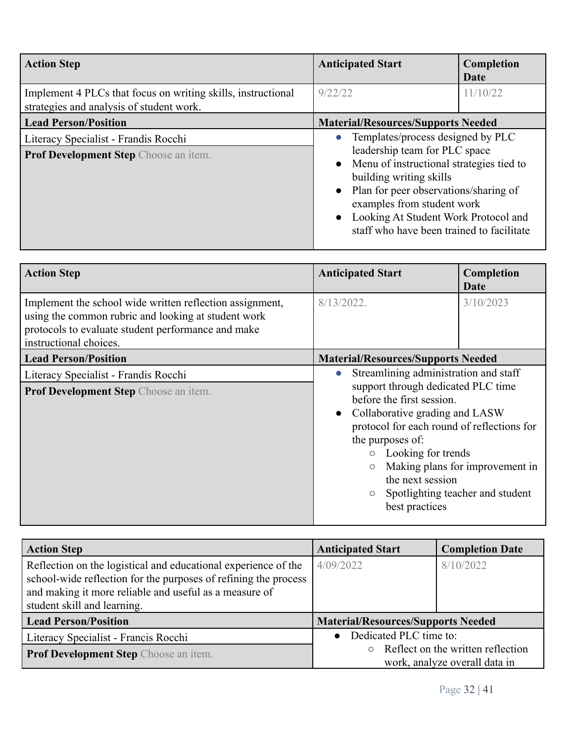| <b>Action Step</b>                                                                                       | <b>Anticipated Start</b>                                                                                                                                                                                                                                                                                  | Completion<br>Date |
|----------------------------------------------------------------------------------------------------------|-----------------------------------------------------------------------------------------------------------------------------------------------------------------------------------------------------------------------------------------------------------------------------------------------------------|--------------------|
| Implement 4 PLCs that focus on writing skills, instructional<br>strategies and analysis of student work. | 9/22/22                                                                                                                                                                                                                                                                                                   | 11/10/22           |
| <b>Lead Person/Position</b>                                                                              | <b>Material/Resources/Supports Needed</b>                                                                                                                                                                                                                                                                 |                    |
| Literacy Specialist - Frandis Rocchi<br>Prof Development Step Choose an item.                            | Templates/process designed by PLC<br>leadership team for PLC space<br>• Menu of instructional strategies tied to<br>building writing skills<br>• Plan for peer observations/sharing of<br>examples from student work<br>Looking At Student Work Protocol and<br>staff who have been trained to facilitate |                    |

| <b>Action Step</b>                                                                                                                                                                              | <b>Anticipated Start</b>                                                                                                                                                                                                                                                                         | Completion<br><b>Date</b>                                           |
|-------------------------------------------------------------------------------------------------------------------------------------------------------------------------------------------------|--------------------------------------------------------------------------------------------------------------------------------------------------------------------------------------------------------------------------------------------------------------------------------------------------|---------------------------------------------------------------------|
| Implement the school wide written reflection assignment,<br>using the common rubric and looking at student work<br>protocols to evaluate student performance and make<br>instructional choices. | $8/13/2022$ .                                                                                                                                                                                                                                                                                    | 3/10/2023                                                           |
| <b>Lead Person/Position</b>                                                                                                                                                                     | <b>Material/Resources/Supports Needed</b>                                                                                                                                                                                                                                                        |                                                                     |
| Literacy Specialist - Frandis Rocchi<br>Prof Development Step Choose an item.                                                                                                                   | Streamlining administration and staff<br>$\bullet$<br>support through dedicated PLC time<br>before the first session.<br>Collaborative grading and LASW<br>protocol for each round of reflections for<br>the purposes of:<br>Looking for trends<br>$\circ$<br>the next session<br>best practices | Making plans for improvement in<br>Spotlighting teacher and student |

| <b>Action Step</b>                                                                                                                                                                                                         | <b>Anticipated Start</b>                  | <b>Completion Date</b>                    |
|----------------------------------------------------------------------------------------------------------------------------------------------------------------------------------------------------------------------------|-------------------------------------------|-------------------------------------------|
| Reflection on the logistical and educational experience of the<br>school-wide reflection for the purposes of refining the process<br>and making it more reliable and useful as a measure of<br>student skill and learning. | 4/09/2022                                 | 8/10/2022                                 |
| <b>Lead Person/Position</b>                                                                                                                                                                                                | <b>Material/Resources/Supports Needed</b> |                                           |
| Literacy Specialist - Francis Rocchi                                                                                                                                                                                       | Dedicated PLC time to:<br>$\bullet$       |                                           |
| <b>Prof Development Step</b> Choose an item.                                                                                                                                                                               |                                           | $\circ$ Reflect on the written reflection |
|                                                                                                                                                                                                                            |                                           | work, analyze overall data in             |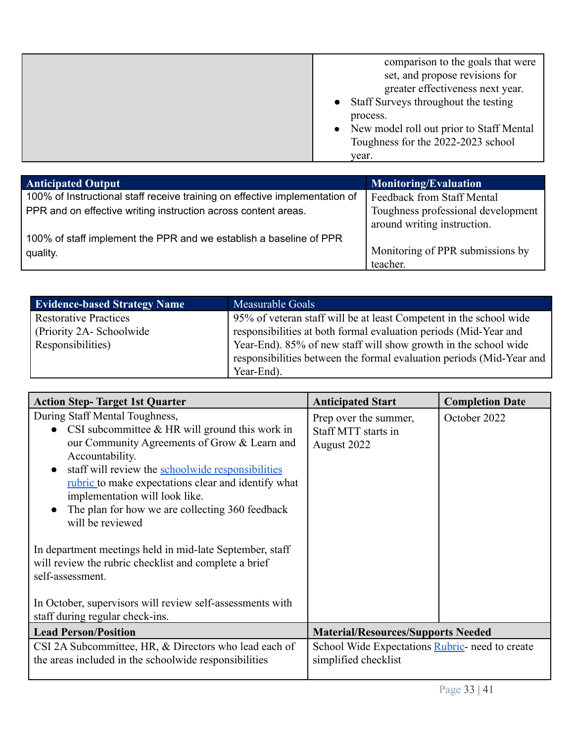|  | comparison to the goals that were<br>set, and propose revisions for<br>greater effectiveness next year.<br>• Staff Surveys throughout the testing<br>process.<br>New model roll out prior to Staff Mental<br>Toughness for the 2022-2023 school<br>year. |
|--|----------------------------------------------------------------------------------------------------------------------------------------------------------------------------------------------------------------------------------------------------------|
|--|----------------------------------------------------------------------------------------------------------------------------------------------------------------------------------------------------------------------------------------------------------|

| <b>Anticipated Output</b>                                                   | <b>Monitoring/Evaluation</b>                                      |
|-----------------------------------------------------------------------------|-------------------------------------------------------------------|
| 100% of Instructional staff receive training on effective implementation of | Feedback from Staff Mental                                        |
| PPR and on effective writing instruction across content areas.              | Toughness professional development<br>around writing instruction. |
| 100% of staff implement the PPR and we establish a baseline of PPR          |                                                                   |
| quality.                                                                    | Monitoring of PPR submissions by                                  |
|                                                                             | teacher.                                                          |

| <b>Evidence-based Strategy Name</b> | Measurable Goals                                                     |
|-------------------------------------|----------------------------------------------------------------------|
| <b>Restorative Practices</b>        | 95% of veteran staff will be at least Competent in the school wide   |
| (Priority 2A-Schoolwide)            | responsibilities at both formal evaluation periods (Mid-Year and     |
| Responsibilities)                   | Year-End). 85% of new staff will show growth in the school wide      |
|                                     | responsibilities between the formal evaluation periods (Mid-Year and |
|                                     | Year-End).                                                           |

| <b>Action Step-Target 1st Quarter</b>                                                                                                                                                                                                                                                                                                                                                                        | <b>Anticipated Start</b>                                                | <b>Completion Date</b> |
|--------------------------------------------------------------------------------------------------------------------------------------------------------------------------------------------------------------------------------------------------------------------------------------------------------------------------------------------------------------------------------------------------------------|-------------------------------------------------------------------------|------------------------|
| During Staff Mental Toughness,<br>• CSI subcommittee $&HR$ will ground this work in<br>our Community Agreements of Grow & Learn and<br>Accountability.<br>staff will review the schoolwide responsibilities<br>$\bullet$<br><u>rubric</u> to make expectations clear and identify what<br>implementation will look like.<br>The plan for how we are collecting 360 feedback<br>$\bullet$<br>will be reviewed | Prep over the summer,<br>Staff MTT starts in<br>August 2022             | October 2022           |
| In department meetings held in mid-late September, staff<br>will review the rubric checklist and complete a brief<br>self-assessment.<br>In October, supervisors will review self-assessments with<br>staff during regular check-ins.                                                                                                                                                                        |                                                                         |                        |
| <b>Lead Person/Position</b>                                                                                                                                                                                                                                                                                                                                                                                  | <b>Material/Resources/Supports Needed</b>                               |                        |
| CSI 2A Subcommittee, HR, & Directors who lead each of<br>the areas included in the schoolwide responsibilities                                                                                                                                                                                                                                                                                               | School Wide Expectations Rubric- need to create<br>simplified checklist |                        |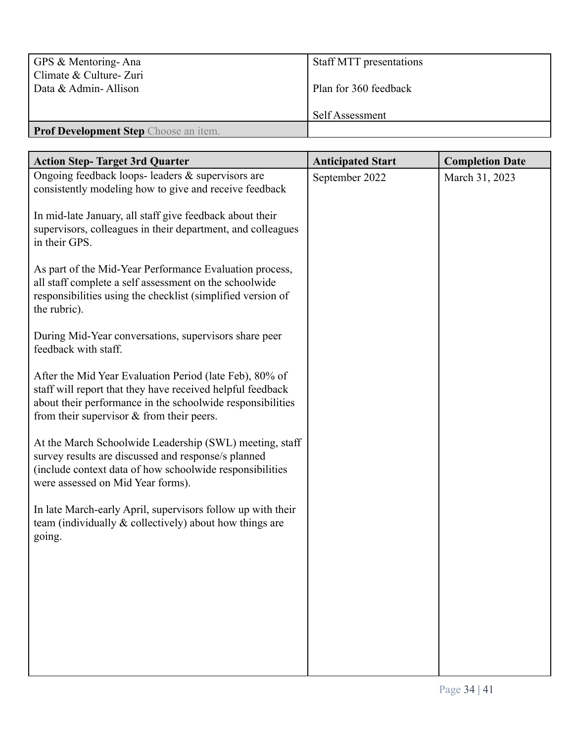| GPS & Mentoring-Ana<br>Climate & Culture- Zuri | <b>Staff MTT</b> presentations |
|------------------------------------------------|--------------------------------|
| Data & Admin-Allison                           | Plan for 360 feedback          |
|                                                | Self Assessment                |
| <b>Prof Development Step</b> Choose an item.   |                                |

| <b>Action Step-Target 3rd Quarter</b>                                                                                    | <b>Anticipated Start</b> | <b>Completion Date</b> |
|--------------------------------------------------------------------------------------------------------------------------|--------------------------|------------------------|
| Ongoing feedback loops- leaders & supervisors are<br>consistently modeling how to give and receive feedback              | September 2022           | March 31, 2023         |
|                                                                                                                          |                          |                        |
| In mid-late January, all staff give feedback about their<br>supervisors, colleagues in their department, and colleagues  |                          |                        |
| in their GPS.                                                                                                            |                          |                        |
| As part of the Mid-Year Performance Evaluation process,                                                                  |                          |                        |
| all staff complete a self assessment on the schoolwide<br>responsibilities using the checklist (simplified version of    |                          |                        |
| the rubric).                                                                                                             |                          |                        |
| During Mid-Year conversations, supervisors share peer                                                                    |                          |                        |
| feedback with staff.                                                                                                     |                          |                        |
| After the Mid Year Evaluation Period (late Feb), 80% of                                                                  |                          |                        |
| staff will report that they have received helpful feedback<br>about their performance in the schoolwide responsibilities |                          |                        |
| from their supervisor $&$ from their peers.                                                                              |                          |                        |
| At the March Schoolwide Leadership (SWL) meeting, staff                                                                  |                          |                        |
| survey results are discussed and response/s planned<br>(include context data of how schoolwide responsibilities          |                          |                        |
| were assessed on Mid Year forms).                                                                                        |                          |                        |
| In late March-early April, supervisors follow up with their                                                              |                          |                        |
| team (individually & collectively) about how things are<br>going.                                                        |                          |                        |
|                                                                                                                          |                          |                        |
|                                                                                                                          |                          |                        |
|                                                                                                                          |                          |                        |
|                                                                                                                          |                          |                        |
|                                                                                                                          |                          |                        |
|                                                                                                                          |                          |                        |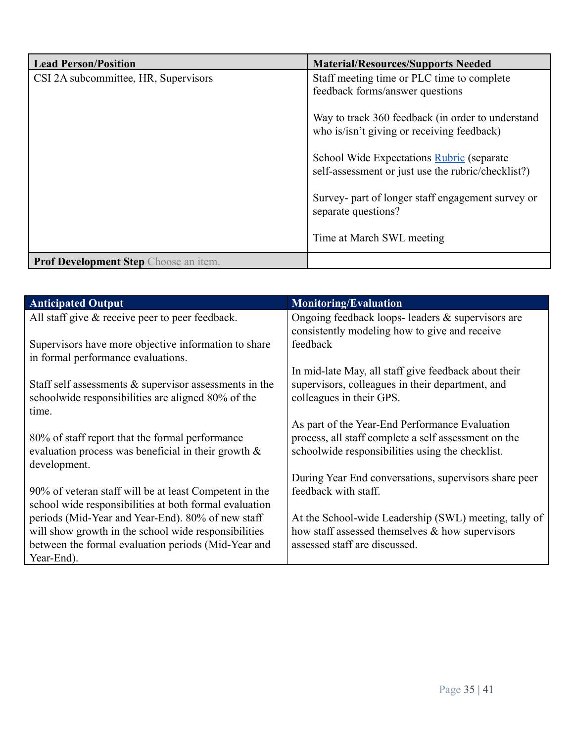| <b>Lead Person/Position</b>           | <b>Material/Resources/Supports Needed</b>                                                       |
|---------------------------------------|-------------------------------------------------------------------------------------------------|
| CSI 2A subcommittee, HR, Supervisors  | Staff meeting time or PLC time to complete                                                      |
|                                       | feedback forms/answer questions                                                                 |
|                                       | Way to track 360 feedback (in order to understand<br>who is/isn't giving or receiving feedback) |
|                                       | School Wide Expectations Rubric (separate<br>self-assessment or just use the rubric/checklist?) |
|                                       | Survey- part of longer staff engagement survey or<br>separate questions?                        |
|                                       | Time at March SWL meeting                                                                       |
| Prof Development Step Choose an item. |                                                                                                 |

| <b>Anticipated Output</b>                                 | <b>Monitoring/Evaluation</b>                          |
|-----------------------------------------------------------|-------------------------------------------------------|
| All staff give $\&$ receive peer to peer feedback.        | Ongoing feedback loops- leaders $&$ supervisors are   |
|                                                           | consistently modeling how to give and receive         |
| Supervisors have more objective information to share      | feedback                                              |
| in formal performance evaluations.                        |                                                       |
|                                                           | In mid-late May, all staff give feedback about their  |
| Staff self assessments $\&$ supervisor assessments in the | supervisors, colleagues in their department, and      |
| schoolwide responsibilities are aligned 80% of the        | colleagues in their GPS.                              |
| time.                                                     |                                                       |
|                                                           | As part of the Year-End Performance Evaluation        |
| 80% of staff report that the formal performance           | process, all staff complete a self assessment on the  |
| evaluation process was beneficial in their growth $\&$    | schoolwide responsibilities using the checklist.      |
| development.                                              |                                                       |
|                                                           | During Year End conversations, supervisors share peer |
| 90% of veteran staff will be at least Competent in the    | feedback with staff.                                  |
| school wide responsibilities at both formal evaluation    |                                                       |
| periods (Mid-Year and Year-End). 80% of new staff         | At the School-wide Leadership (SWL) meeting, tally of |
| will show growth in the school wide responsibilities      | how staff assessed themselves $\&$ how supervisors    |
| between the formal evaluation periods (Mid-Year and       | assessed staff are discussed.                         |
| Year-End).                                                |                                                       |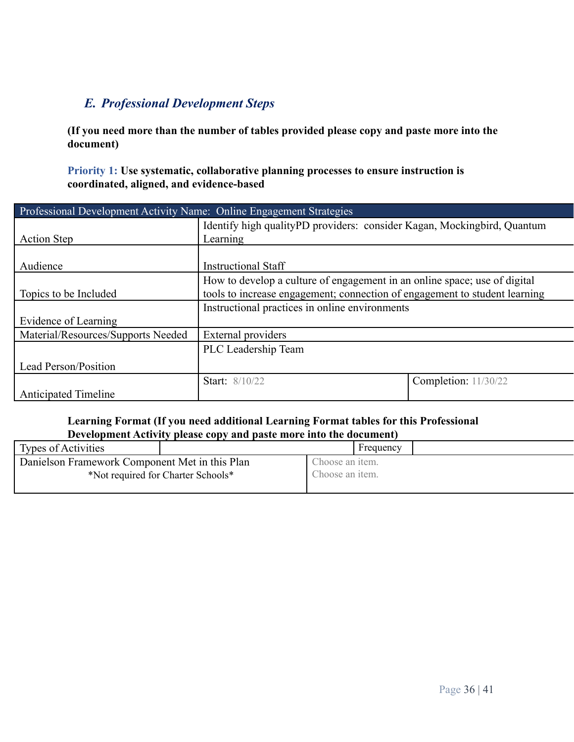## *E. Professional Development Steps*

**(If you need more than the number of tables provided please copy and paste more into the document)**

**Priority 1: Use systematic, collaborative planning processes to ensure instruction is coordinated, aligned, and evidence-based**

| Professional Development Activity Name: Online Engagement Strategies |                                                                            |                             |  |
|----------------------------------------------------------------------|----------------------------------------------------------------------------|-----------------------------|--|
|                                                                      | Identify high qualityPD providers: consider Kagan, Mockingbird, Quantum    |                             |  |
| <b>Action Step</b>                                                   | Learning                                                                   |                             |  |
|                                                                      |                                                                            |                             |  |
| Audience                                                             | <b>Instructional Staff</b>                                                 |                             |  |
|                                                                      | How to develop a culture of engagement in an online space; use of digital  |                             |  |
| Topics to be Included                                                | tools to increase engagement; connection of engagement to student learning |                             |  |
|                                                                      | Instructional practices in online environments                             |                             |  |
| Evidence of Learning                                                 |                                                                            |                             |  |
| Material/Resources/Supports Needed                                   | External providers                                                         |                             |  |
|                                                                      | PLC Leadership Team                                                        |                             |  |
| Lead Person/Position                                                 |                                                                            |                             |  |
|                                                                      | <b>Start:</b> 8/10/22                                                      | <b>Completion:</b> 11/30/22 |  |
| <b>Anticipated Timeline</b>                                          |                                                                            |                             |  |

## **Learning Format (If you need additional Learning Format tables for this Professional Development Activity please copy and paste more into the document)**

| <b>Types of Activities</b>                     |                                    |                 | Frequency |  |
|------------------------------------------------|------------------------------------|-----------------|-----------|--|
| Danielson Framework Component Met in this Plan |                                    | Choose an item. |           |  |
|                                                | *Not required for Charter Schools* | Choose an item. |           |  |
|                                                |                                    |                 |           |  |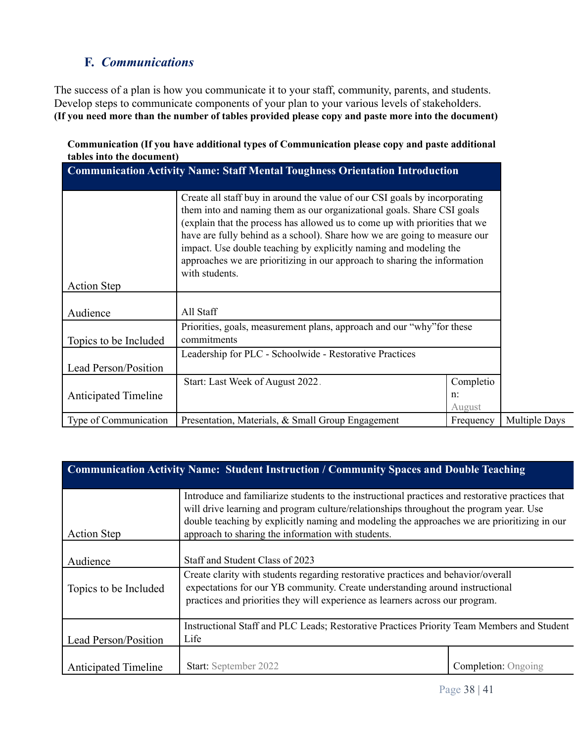## **F.** *Communications*

The success of a plan is how you communicate it to your staff, community, parents, and students. Develop steps to communicate components of your plan to your various levels of stakeholders. **(If you need more than the number of tables provided please copy and paste more into the document)**

|                           | Communication (If you have additional types of Communication please copy and paste additional |  |
|---------------------------|-----------------------------------------------------------------------------------------------|--|
| tables into the document) |                                                                                               |  |

|                             | <b>Communication Activity Name: Staff Mental Toughness Orientation Introduction</b>                                                                                                                                                                                                                                                                                                                                                                                                  |                              |
|-----------------------------|--------------------------------------------------------------------------------------------------------------------------------------------------------------------------------------------------------------------------------------------------------------------------------------------------------------------------------------------------------------------------------------------------------------------------------------------------------------------------------------|------------------------------|
|                             | Create all staff buy in around the value of our CSI goals by incorporating<br>them into and naming them as our organizational goals. Share CSI goals<br>(explain that the process has allowed us to come up with priorities that we<br>have are fully behind as a school). Share how we are going to measure our<br>impact. Use double teaching by explicitly naming and modeling the<br>approaches we are prioritizing in our approach to sharing the information<br>with students. |                              |
| <b>Action Step</b>          |                                                                                                                                                                                                                                                                                                                                                                                                                                                                                      |                              |
| Audience                    | All Staff                                                                                                                                                                                                                                                                                                                                                                                                                                                                            |                              |
| Topics to be Included       | Priorities, goals, measurement plans, approach and our "why" for these<br>commitments                                                                                                                                                                                                                                                                                                                                                                                                |                              |
| Lead Person/Position        | Leadership for PLC - Schoolwide - Restorative Practices                                                                                                                                                                                                                                                                                                                                                                                                                              |                              |
| <b>Anticipated Timeline</b> | Start: Last Week of August 2022.                                                                                                                                                                                                                                                                                                                                                                                                                                                     | Completio<br>$n$ :<br>August |
| Type of Communication       | Presentation, Materials, & Small Group Engagement                                                                                                                                                                                                                                                                                                                                                                                                                                    | Frequency                    |

| <b>Communication Activity Name: Student Instruction / Community Spaces and Double Teaching</b> |                                                                                                                                                                                                                                                                                                                                                 |                            |  |
|------------------------------------------------------------------------------------------------|-------------------------------------------------------------------------------------------------------------------------------------------------------------------------------------------------------------------------------------------------------------------------------------------------------------------------------------------------|----------------------------|--|
| <b>Action Step</b>                                                                             | Introduce and familiarize students to the instructional practices and restorative practices that<br>will drive learning and program culture/relationships throughout the program year. Use<br>double teaching by explicitly naming and modeling the approaches we are prioritizing in our<br>approach to sharing the information with students. |                            |  |
| Audience                                                                                       | Staff and Student Class of 2023                                                                                                                                                                                                                                                                                                                 |                            |  |
| Topics to be Included                                                                          | Create clarity with students regarding restorative practices and behavior/overall<br>expectations for our YB community. Create understanding around instructional<br>practices and priorities they will experience as learners across our program.                                                                                              |                            |  |
| Lead Person/Position                                                                           | Instructional Staff and PLC Leads; Restorative Practices Priority Team Members and Student<br>Life                                                                                                                                                                                                                                              |                            |  |
| <b>Anticipated Timeline</b>                                                                    | <b>Start:</b> September 2022                                                                                                                                                                                                                                                                                                                    | <b>Completion:</b> Ongoing |  |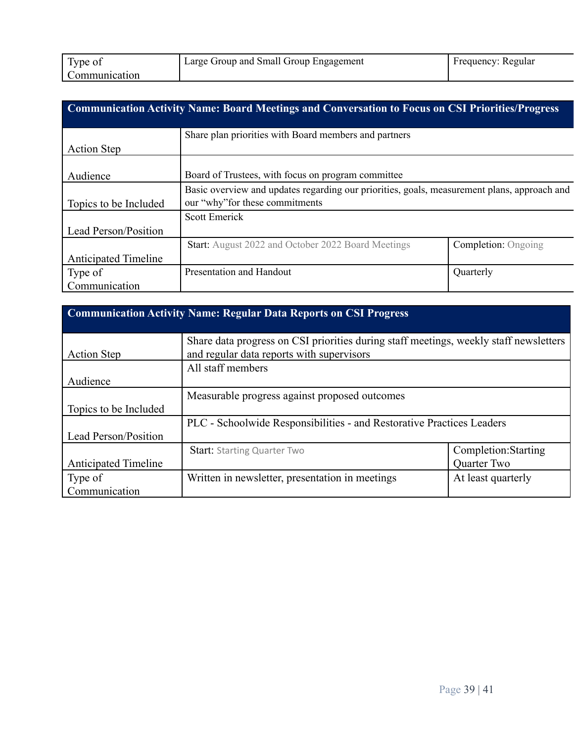| Type of       | Large Group and Small Group Engagement | Frequency: Regular |
|---------------|----------------------------------------|--------------------|
| Communication |                                        |                    |

|                             | <b>Communication Activity Name: Board Meetings and Conversation to Focus on CSI Priorities/Progress</b> |                            |
|-----------------------------|---------------------------------------------------------------------------------------------------------|----------------------------|
|                             | Share plan priorities with Board members and partners                                                   |                            |
| <b>Action Step</b>          |                                                                                                         |                            |
|                             |                                                                                                         |                            |
| Audience                    | Board of Trustees, with focus on program committee                                                      |                            |
|                             | Basic overview and updates regarding our priorities, goals, measurement plans, approach and             |                            |
| Topics to be Included       | our "why" for these commitments                                                                         |                            |
|                             | <b>Scott Emerick</b>                                                                                    |                            |
| Lead Person/Position        |                                                                                                         |                            |
|                             | <b>Start:</b> August 2022 and October 2022 Board Meetings                                               | <b>Completion:</b> Ongoing |
| <b>Anticipated Timeline</b> |                                                                                                         |                            |
| Type of                     | Presentation and Handout                                                                                | Quarterly                  |
| Communication               |                                                                                                         |                            |

| <b>Communication Activity Name: Regular Data Reports on CSI Progress</b> |                                                                                       |                      |
|--------------------------------------------------------------------------|---------------------------------------------------------------------------------------|----------------------|
|                                                                          |                                                                                       |                      |
|                                                                          | Share data progress on CSI priorities during staff meetings, weekly staff newsletters |                      |
| <b>Action Step</b>                                                       | and regular data reports with supervisors                                             |                      |
|                                                                          | All staff members                                                                     |                      |
| Audience                                                                 |                                                                                       |                      |
|                                                                          | Measurable progress against proposed outcomes                                         |                      |
| Topics to be Included                                                    |                                                                                       |                      |
|                                                                          | PLC - Schoolwide Responsibilities - and Restorative Practices Leaders                 |                      |
| Lead Person/Position                                                     |                                                                                       |                      |
|                                                                          | <b>Start: Starting Quarter Two</b>                                                    | Completion: Starting |
| <b>Anticipated Timeline</b>                                              |                                                                                       | Quarter Two          |
| Type of                                                                  | Written in newsletter, presentation in meetings                                       | At least quarterly   |
| Communication                                                            |                                                                                       |                      |